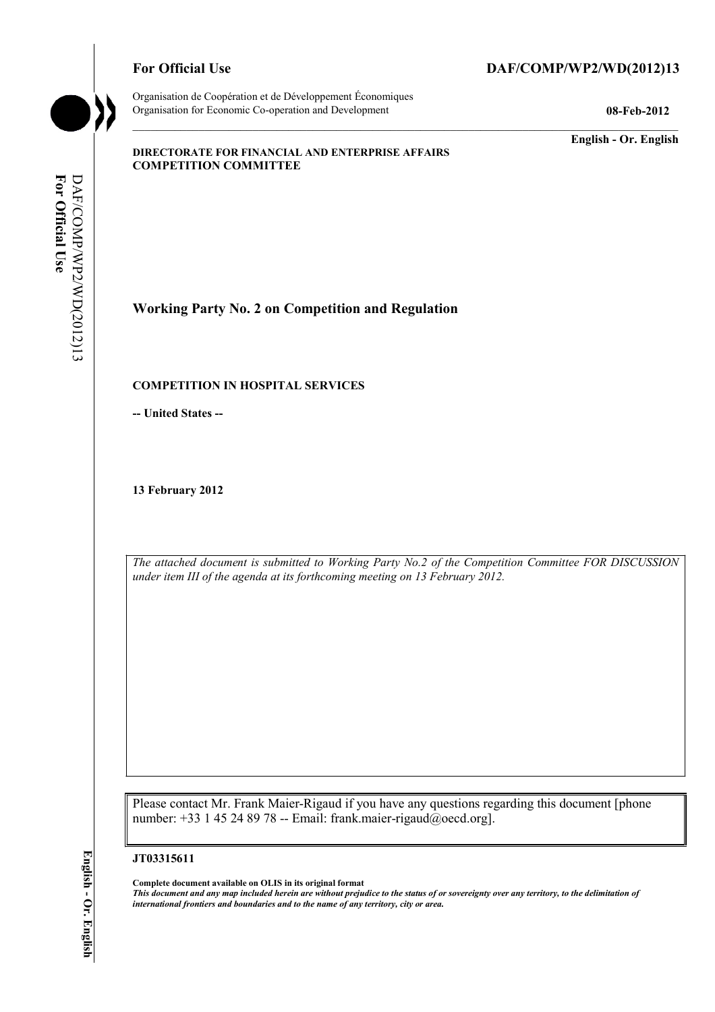Organisation de Coopération et de Développement Économiques Organisation for Economic Co-operation and Development **08-Feb-2012** 

# For Official Use DAF/COMP/WP2/WD(2012)13

**English - Or. English** 

#### **DIRECTORATE FOR FINANCIAL AND ENTERPRISE AFFAIRS COMPETITION COMMITTEE**

For Official Use **For Official Use**  DAF/COMP/WP2/WD(2012)13 DAF/COMP/WP2/WD(2012)13

**Working Party No. 2 on Competition and Regulation** 

#### **COMPETITION IN HOSPITAL SERVICES**

**-- United States --**

**13 February 2012** 

*The attached document is submitted to Working Party No.2 of the Competition Committee FOR DISCUSSION under item III of the agenda at its forthcoming meeting on 13 February 2012.* 

Please contact Mr. Frank Maier-Rigaud if you have any questions regarding this document [phone number: +33 1 45 24 89 78 -- Email: frank.maier-rigaud@oecd.org].

#### **JT03315611**

 **Complete document available on OLIS in its original format** 

 *This document and any map included herein are without prejudice to the status of or sovereignty over any territory, to the delimitation of international frontiers and boundaries and to the name of any territory, city or area.*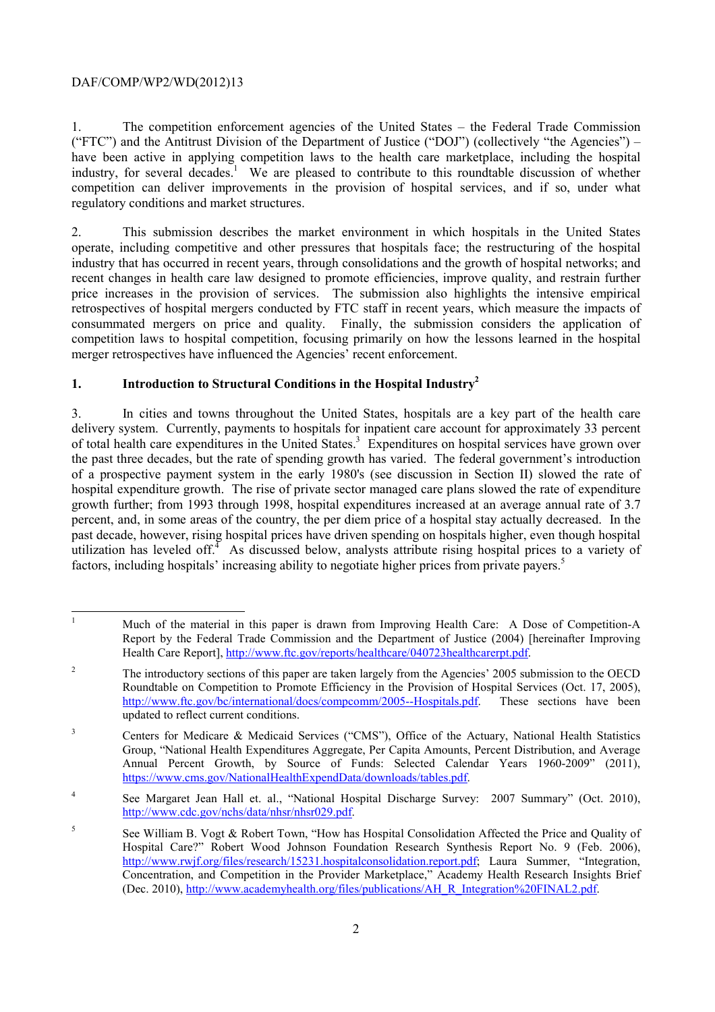1. The competition enforcement agencies of the United States – the Federal Trade Commission ("FTC") and the Antitrust Division of the Department of Justice ("DOJ") (collectively "the Agencies") – have been active in applying competition laws to the health care marketplace, including the hospital industry, for several decades.<sup>1</sup> We are pleased to contribute to this roundtable discussion of whether competition can deliver improvements in the provision of hospital services, and if so, under what regulatory conditions and market structures.

2. This submission describes the market environment in which hospitals in the United States operate, including competitive and other pressures that hospitals face; the restructuring of the hospital industry that has occurred in recent years, through consolidations and the growth of hospital networks; and recent changes in health care law designed to promote efficiencies, improve quality, and restrain further price increases in the provision of services. The submission also highlights the intensive empirical retrospectives of hospital mergers conducted by FTC staff in recent years, which measure the impacts of consummated mergers on price and quality. Finally, the submission considers the application of competition laws to hospital competition, focusing primarily on how the lessons learned in the hospital merger retrospectives have influenced the Agencies' recent enforcement.

# **1. Introduction to Structural Conditions in the Hospital Industry2**

of total health care expenditures in the United States.<sup>3</sup> Expenditures on hospital services have grown over growth further; from 1993 through 1998, hospital expenditures increased at an average annual rate of 3.7 3. In cities and towns throughout the United States, hospitals are a key part of the health care delivery system. Currently, payments to hospitals for inpatient care account for approximately 33 percent the past three decades, but the rate of spending growth has varied. The federal government's introduction of a prospective payment system in the early 1980's (see discussion in Section II) slowed the rate of hospital expenditure growth. The rise of private sector managed care plans slowed the rate of expenditure percent, and, in some areas of the country, the per diem price of a hospital stay actually decreased. In the past decade, however, rising hospital prices have driven spending on hospitals higher, even though hospital utilization has leveled off.<sup> $\overline{4}$ </sup> As discussed below, analysts attribute rising hospital prices to a variety of factors, including hospitals' increasing ability to negotiate higher prices from private payers.<sup>5</sup>

 $\overline{a}$ 1 Much of the material in this paper is drawn from Improving Health Care: A Dose of Competition-A Report by the Federal Trade Commission and the Department of Justice (2004) [hereinafter Improving Health Care Report], http://www.ftc.gov/reports/healthcare/040723healthcarerpt.pdf.

 $\overline{2}$ 2 The introductory sections of this paper are taken largely from the Agencies' 2005 submission to the OECD Roundtable on Competition to Promote Efficiency in the Provision of Hospital Services (Oct. 17, 2005), http://www.ftc.gov/bc/international/docs/compcomm/2005--Hospitals.pdf. These sections have been updated to reflect current conditions.

<sup>&</sup>lt;sup>3</sup> Centers for Medicare & Medicaid Services ("CMS"), Office of the Actuary, National Health Statistics Group, "National Health Expenditures Aggregate, Per Capita Amounts, Percent Distribution, and Average Annual Percent Growth, by Source of Funds: Selected Calendar Years 1960-2009" (2011), https://www.cms.gov/NationalHealthExpendData/downloads/tables.pdf.

<sup>4</sup> See Margaret Jean Hall et. al., "National Hospital Discharge Survey: 2007 Summary" (Oct. 2010), http://www.cdc.gov/nchs/data/nhsr/nhsr029.pdf.

<sup>5</sup> See William B. Vogt & Robert Town, "How has Hospital Consolidation Affected the Price and Quality of Hospital Care?" Robert Wood Johnson Foundation Research Synthesis Report No. 9 (Feb. 2006), http://www.rwjf.org/files/research/15231.hospitalconsolidation.report.pdf; Laura Summer, "Integration, Concentration, and Competition in the Provider Marketplace," Academy Health Research Insights Brief (Dec. 2010), http://www.academyhealth.org/files/publications/AH\_R\_Integration%20FINAL2.pdf.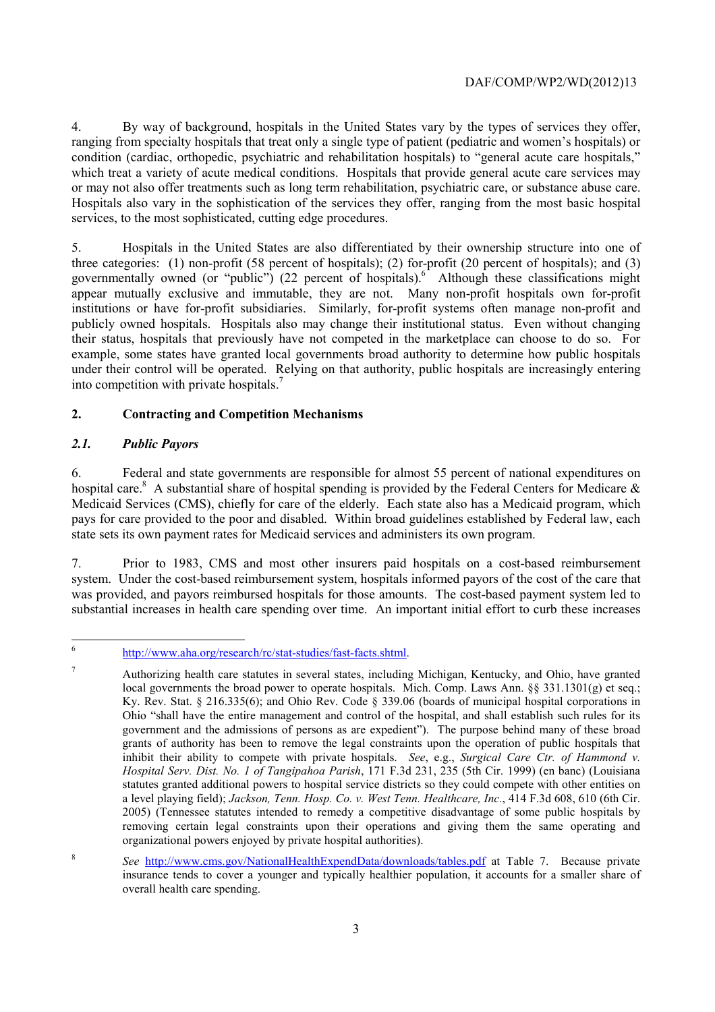or may not also offer treatments such as long term rehabilitation, psychiatric care, or substance abuse care. 4. By way of background, hospitals in the United States vary by the types of services they offer, ranging from specialty hospitals that treat only a single type of patient (pediatric and women's hospitals) or condition (cardiac, orthopedic, psychiatric and rehabilitation hospitals) to "general acute care hospitals," which treat a variety of acute medical conditions. Hospitals that provide general acute care services may Hospitals also vary in the sophistication of the services they offer, ranging from the most basic hospital services, to the most sophisticated, cutting edge procedures.

5. Hospitals in the United States are also differentiated by their ownership structure into one of three categories: (1) non-profit (58 percent of hospitals); (2) for-profit (20 percent of hospitals); and (3) governmentally owned (or "public") (22 percent of hospitals). Although these classifications might appear mutually exclusive and immutable, they are not. Many non-profit hospitals own for-profit institutions or have for-profit subsidiaries. Similarly, for-profit systems often manage non-profit and publicly owned hospitals. Hospitals also may change their institutional status. Even without changing their status, hospitals that previously have not competed in the marketplace can choose to do so. For example, some states have granted local governments broad authority to determine how public hospitals under their control will be operated. Relying on that authority, public hospitals are increasingly entering into competition with private hospitals.<sup>7</sup>

# **2. Contracting and Competition Mechanisms**

# *2.1. Public Payors*

6. Federal and state governments are responsible for almost 55 percent of national expenditures on hospital care.<sup>8</sup> A substantial share of hospital spending is provided by the Federal Centers for Medicare  $\&$ Medicaid Services (CMS), chiefly for care of the elderly. Each state also has a Medicaid program, which pays for care provided to the poor and disabled. Within broad guidelines established by Federal law, each state sets its own payment rates for Medicaid services and administers its own program.

7. Prior to 1983, CMS and most other insurers paid hospitals on a cost-based reimbursement system. Under the cost-based reimbursement system, hospitals informed payors of the cost of the care that was provided, and payors reimbursed hospitals for those amounts. The cost-based payment system led to substantial increases in health care spending over time. An important initial effort to curb these increases

 6 http://www.aha.org/research/rc/stat-studies/fast-facts.shtml.

 $\overline{7}$  Ohio "shall have the entire management and control of the hospital, and shall establish such rules for its 7 Authorizing health care statutes in several states, including Michigan, Kentucky, and Ohio, have granted local governments the broad power to operate hospitals. Mich. Comp. Laws Ann.  $\S$ § 331.1301(g) et seq.; Ky. Rev. Stat. § 216.335(6); and Ohio Rev. Code § 339.06 (boards of municipal hospital corporations in government and the admissions of persons as are expedient"). The purpose behind many of these broad grants of authority has been to remove the legal constraints upon the operation of public hospitals that inhibit their ability to compete with private hospitals. *See*, e.g., *Surgical Care Ctr. of Hammond v. Hospital Serv. Dist. No. 1 of Tangipahoa Parish*, 171 F.3d 231, 235 (5th Cir. 1999) (en banc) (Louisiana statutes granted additional powers to hospital service districts so they could compete with other entities on a level playing field); *Jackson, Tenn. Hosp. Co. v. West Tenn. Healthcare, Inc.*, 414 F.3d 608, 610 (6th Cir. 2005) (Tennessee statutes intended to remedy a competitive disadvantage of some public hospitals by removing certain legal constraints upon their operations and giving them the same operating and organizational powers enjoyed by private hospital authorities).

<sup>8</sup>*See* http://www.cms.gov/NationalHealthExpendData/downloads/tables.pdf at Table 7. Because private insurance tends to cover a younger and typically healthier population, it accounts for a smaller share of overall health care spending.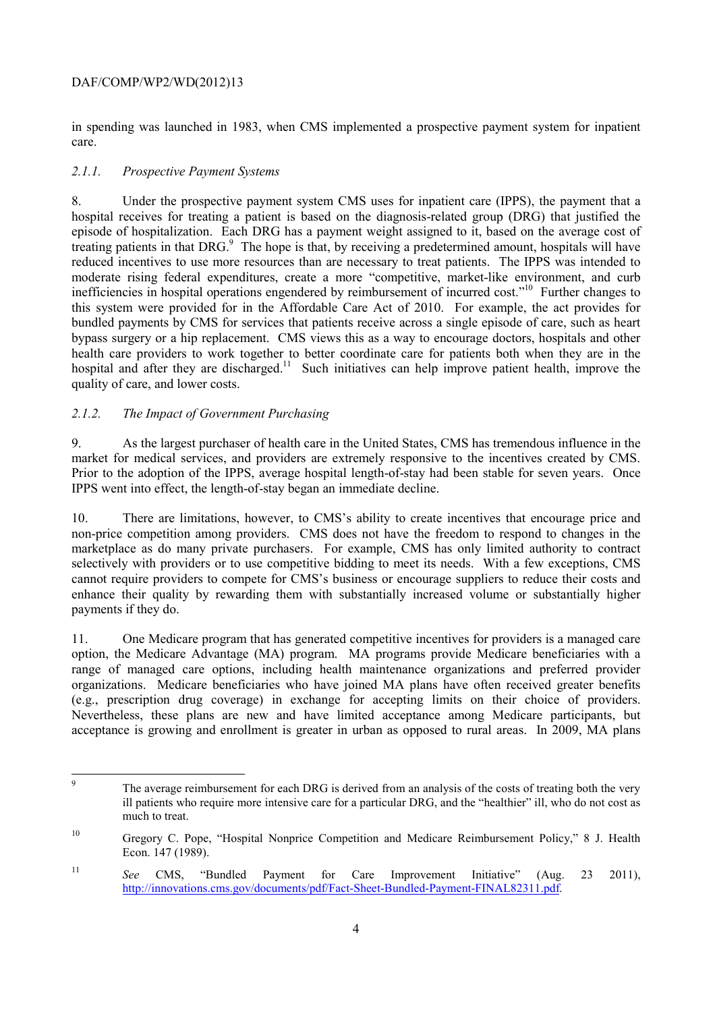in spending was launched in 1983, when CMS implemented a prospective payment system for inpatient care.

## *2.1.1. Prospective Payment Systems*

 8. Under the prospective payment system CMS uses for inpatient care (IPPS), the payment that a hospital receives for treating a patient is based on the diagnosis-related group (DRG) that justified the episode of hospitalization. Each DRG has a payment weight assigned to it, based on the average cost of treating patients in that DRG.<sup>9</sup> The hope is that, by receiving a predetermined amount, hospitals will have reduced incentives to use more resources than are necessary to treat patients. The IPPS was intended to moderate rising federal expenditures, create a more "competitive, market-like environment, and curb inefficiencies in hospital operations engendered by reimbursement of incurred cost."10 Further changes to this system were provided for in the Affordable Care Act of 2010. For example, the act provides for bundled payments by CMS for services that patients receive across a single episode of care, such as heart bypass surgery or a hip replacement. CMS views this as a way to encourage doctors, hospitals and other health care providers to work together to better coordinate care for patients both when they are in the hospital and after they are discharged.<sup>11</sup> Such initiatives can help improve patient health, improve the quality of care, and lower costs.

# *2.1.2. The Impact of Government Purchasing*

 $\overline{a}$ 

market for medical services, and providers are extremely responsive to the incentives created by CMS. 9. As the largest purchaser of health care in the United States, CMS has tremendous influence in the Prior to the adoption of the IPPS, average hospital length-of-stay had been stable for seven years. Once IPPS went into effect, the length-of-stay began an immediate decline.

10. There are limitations, however, to CMS's ability to create incentives that encourage price and non-price competition among providers. CMS does not have the freedom to respond to changes in the marketplace as do many private purchasers. For example, CMS has only limited authority to contract selectively with providers or to use competitive bidding to meet its needs. With a few exceptions, CMS cannot require providers to compete for CMS's business or encourage suppliers to reduce their costs and enhance their quality by rewarding them with substantially increased volume or substantially higher payments if they do.

 (e.g., prescription drug coverage) in exchange for accepting limits on their choice of providers. Nevertheless, these plans are new and have limited acceptance among Medicare participants, but 11. One Medicare program that has generated competitive incentives for providers is a managed care option, the Medicare Advantage (MA) program. MA programs provide Medicare beneficiaries with a range of managed care options, including health maintenance organizations and preferred provider organizations. Medicare beneficiaries who have joined MA plans have often received greater benefits acceptance is growing and enrollment is greater in urban as opposed to rural areas. In 2009, MA plans

The average reimbursement for each DRG is derived from an analysis of the costs of treating both the very ill patients who require more intensive care for a particular DRG, and the "healthier" ill, who do not cost as much to treat.

<sup>10</sup> Gregory C. Pope, "Hospital Nonprice Competition and Medicare Reimbursement Policy," 8 J. Health Econ. 147 (1989).

 $11$ <sup>11</sup>*See* CMS, "Bundled Payment for Care Improvement Initiative" (Aug. 23 2011), http://innovations.cms.gov/documents/pdf/Fact-Sheet-Bundled-Payment-FINAL82311.pdf.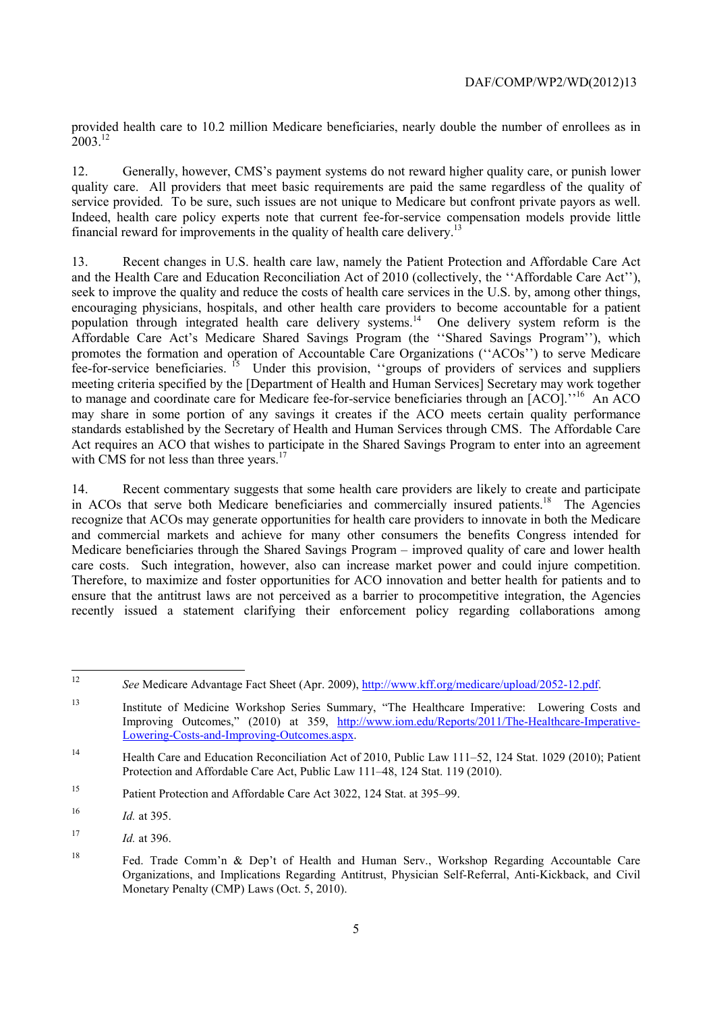provided health care to 10.2 million Medicare beneficiaries, nearly double the number of enrollees as in  $2003^{12}$ 

 12. Generally, however, CMS's payment systems do not reward higher quality care, or punish lower service provided. To be sure, such issues are not unique to Medicare but confront private payors as well. quality care. All providers that meet basic requirements are paid the same regardless of the quality of Indeed, health care policy experts note that current fee-for-service compensation models provide little financial reward for improvements in the quality of health care delivery.<sup>13</sup>

13. Recent changes in U.S. health care law, namely the Patient Protection and Affordable Care Act and the Health Care and Education Reconciliation Act of 2010 (collectively, the ''Affordable Care Act''), seek to improve the quality and reduce the costs of health care services in the U.S. by, among other things, encouraging physicians, hospitals, and other health care providers to become accountable for a patient population through integrated health care delivery systems.14 One delivery system reform is the Affordable Care Act's Medicare Shared Savings Program (the ''Shared Savings Program''), which promotes the formation and operation of Accountable Care Organizations (''ACOs'') to serve Medicare fee-for-service beneficiaries. 15 Under this provision, ''groups of providers of services and suppliers meeting criteria specified by the [Department of Health and Human Services] Secretary may work together to manage and coordinate care for Medicare fee-for-service beneficiaries through an [ACO].''16 An ACO may share in some portion of any savings it creates if the ACO meets certain quality performance standards established by the Secretary of Health and Human Services through CMS. The Affordable Care Act requires an ACO that wishes to participate in the Shared Savings Program to enter into an agreement with CMS for not less than three years.<sup>17</sup>

in ACOs that serve both Medicare beneficiaries and commercially insured patients.<sup>18</sup> The Agencies care costs. Such integration, however, also can increase market power and could injure competition. Therefore, to maximize and foster opportunities for ACO innovation and better health for patients and to 14. Recent commentary suggests that some health care providers are likely to create and participate recognize that ACOs may generate opportunities for health care providers to innovate in both the Medicare and commercial markets and achieve for many other consumers the benefits Congress intended for Medicare beneficiaries through the Shared Savings Program – improved quality of care and lower health ensure that the antitrust laws are not perceived as a barrier to procompetitive integration, the Agencies recently issued a statement clarifying their enforcement policy regarding collaborations among

<sup>12</sup>*See* Medicare Advantage Fact Sheet (Apr. 2009), http://www.kff.org/medicare/upload/2052-12.pdf.

 $13$ 13 Institute of Medicine Workshop Series Summary, "The Healthcare Imperative: Lowering Costs and Improving Outcomes," (2010) at 359, http://www.iom.edu/Reports/2011/The-Healthcare-Imperative-Lowering-Costs-and-Improving-Outcomes.aspx.

<sup>14</sup> Health Care and Education Reconciliation Act of 2010, Public Law 111–52, 124 Stat. 1029 (2010); Patient Protection and Affordable Care Act, Public Law 111–48, 124 Stat. 119 (2010).

<sup>15</sup> Patient Protection and Affordable Care Act 3022, 124 Stat. at 395–99.

<sup>16</sup>*Id.* at 395.

<sup>17</sup>*Id.* at 396.

<sup>18</sup>  Organizations, and Implications Regarding Antitrust, Physician Self-Referral, Anti-Kickback, and Civil Fed. Trade Comm'n & Dep't of Health and Human Serv., Workshop Regarding Accountable Care Monetary Penalty (CMP) Laws (Oct. 5, 2010).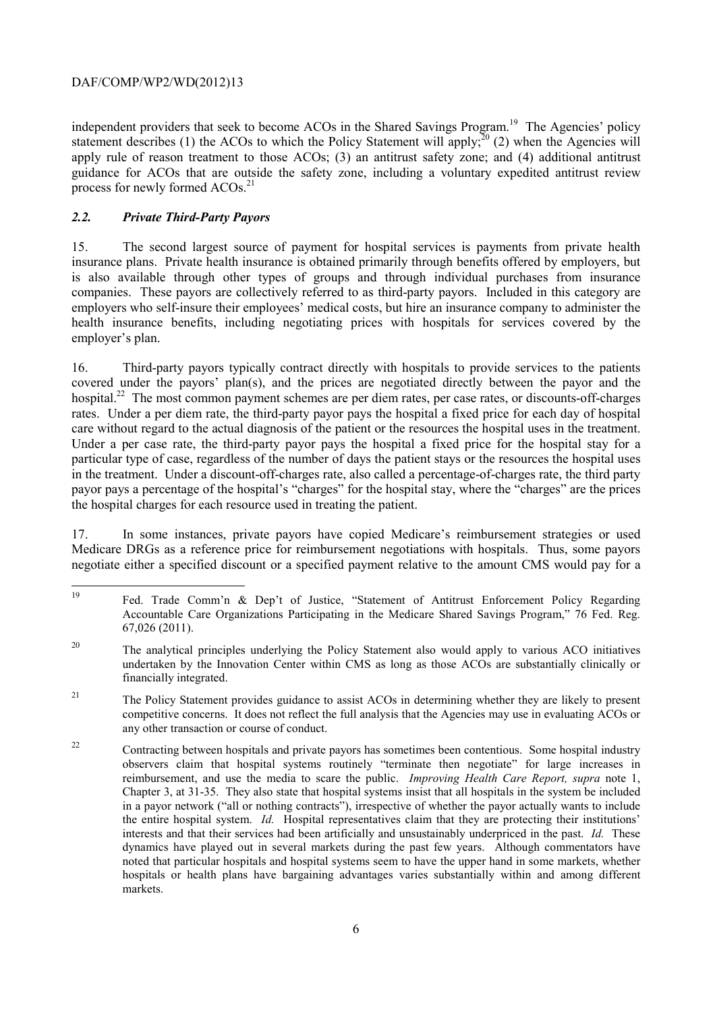independent providers that seek to become ACOs in the Shared Savings Program.<sup>19</sup> The Agencies' policy statement describes (1) the ACOs to which the Policy Statement will apply; $^{20}$  (2) when the Agencies will apply rule of reason treatment to those ACOs; (3) an antitrust safety zone; and (4) additional antitrust guidance for ACOs that are outside the safety zone, including a voluntary expedited antitrust review process for newly formed  $ACOs.<sup>21</sup>$ 

# *2.2. Private Third-Party Payors*

15. The second largest source of payment for hospital services is payments from private health insurance plans. Private health insurance is obtained primarily through benefits offered by employers, but is also available through other types of groups and through individual purchases from insurance companies. These payors are collectively referred to as third-party payors. Included in this category are employers who self-insure their employees' medical costs, but hire an insurance company to administer the health insurance benefits, including negotiating prices with hospitals for services covered by the employer's plan.

care without regard to the actual diagnosis of the patient or the resources the hospital uses in the treatment. 16. Third-party payors typically contract directly with hospitals to provide services to the patients covered under the payors' plan(s), and the prices are negotiated directly between the payor and the hospital.<sup>22</sup> The most common payment schemes are per diem rates, per case rates, or discounts-off-charges rates. Under a per diem rate, the third-party payor pays the hospital a fixed price for each day of hospital Under a per case rate, the third-party payor pays the hospital a fixed price for the hospital stay for a particular type of case, regardless of the number of days the patient stays or the resources the hospital uses in the treatment. Under a discount-off-charges rate, also called a percentage-of-charges rate, the third party payor pays a percentage of the hospital's "charges" for the hospital stay, where the "charges" are the prices the hospital charges for each resource used in treating the patient.

17. In some instances, private payors have copied Medicare's reimbursement strategies or used Medicare DRGs as a reference price for reimbursement negotiations with hospitals. Thus, some payors negotiate either a specified discount or a specified payment relative to the amount CMS would pay for a

Fed. Trade Comm'n & Dep't of Justice, "Statement of Antitrust Enforcement Policy Regarding Accountable Care Organizations Participating in the Medicare Shared Savings Program," 76 Fed. Reg. 67,026 (2011).

<sup>20</sup> The analytical principles underlying the Policy Statement also would apply to various ACO initiatives undertaken by the Innovation Center within CMS as long as those ACOs are substantially clinically or financially integrated.

 competitive concerns. It does not reflect the full analysis that the Agencies may use in evaluating ACOs or <sup>21</sup> The Policy Statement provides guidance to assist ACOs in determining whether they are likely to present any other transaction or course of conduct.

 $22$  reimbursement, and use the media to scare the public. *Improving Health Care Report, supra* note 1, the entire hospital system. *Id.* Hospital representatives claim that they are protecting their institutions' dynamics have played out in several markets during the past few years. Although commentators have 22 Contracting between hospitals and private payors has sometimes been contentious. Some hospital industry observers claim that hospital systems routinely "terminate then negotiate" for large increases in Chapter 3, at 31-35. They also state that hospital systems insist that all hospitals in the system be included in a payor network ("all or nothing contracts"), irrespective of whether the payor actually wants to include interests and that their services had been artificially and unsustainably underpriced in the past. *Id.* These noted that particular hospitals and hospital systems seem to have the upper hand in some markets, whether hospitals or health plans have bargaining advantages varies substantially within and among different markets.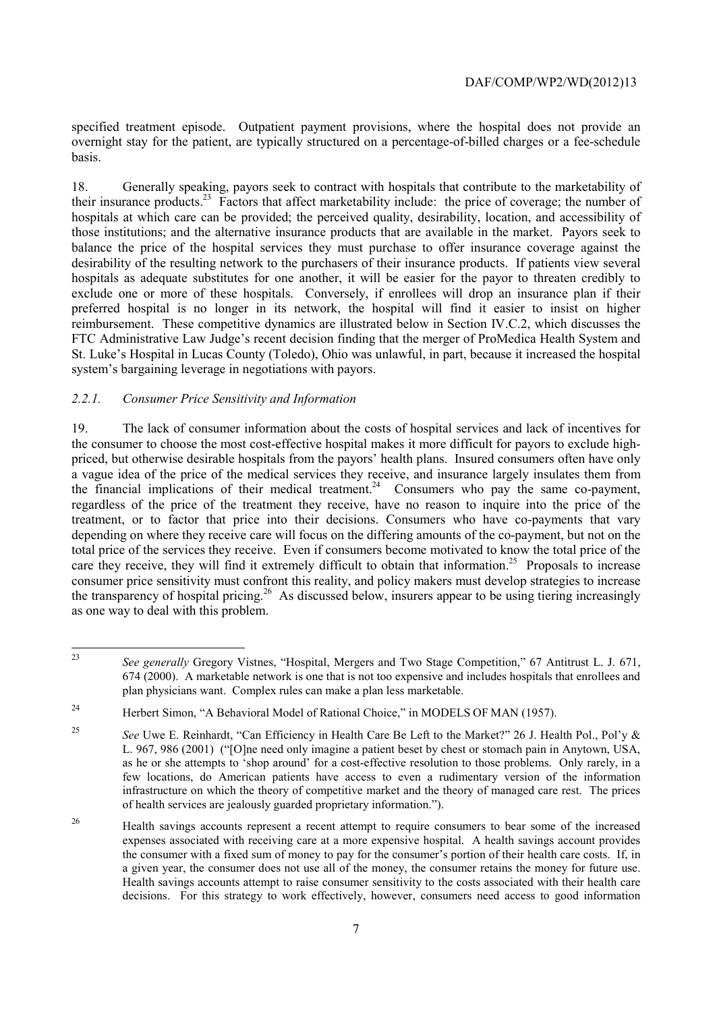specified treatment episode. Outpatient payment provisions, where the hospital does not provide an overnight stay for the patient, are typically structured on a percentage-of-billed charges or a fee-schedule basis.

 exclude one or more of these hospitals. Conversely, if enrollees will drop an insurance plan if their reimbursement. These competitive dynamics are illustrated below in Section IV.C.2, which discusses the 18. Generally speaking, payors seek to contract with hospitals that contribute to the marketability of their insurance products.23 Factors that affect marketability include: the price of coverage; the number of hospitals at which care can be provided; the perceived quality, desirability, location, and accessibility of those institutions; and the alternative insurance products that are available in the market. Payors seek to balance the price of the hospital services they must purchase to offer insurance coverage against the desirability of the resulting network to the purchasers of their insurance products. If patients view several hospitals as adequate substitutes for one another, it will be easier for the payor to threaten credibly to preferred hospital is no longer in its network, the hospital will find it easier to insist on higher FTC Administrative Law Judge's recent decision finding that the merger of ProMedica Health System and St. Luke's Hospital in Lucas County (Toledo), Ohio was unlawful, in part, because it increased the hospital system's bargaining leverage in negotiations with payors.

## *2.2.1. Consumer Price Sensitivity and Information*

19. The lack of consumer information about the costs of hospital services and lack of incentives for the consumer to choose the most cost-effective hospital makes it more difficult for payors to exclude highpriced, but otherwise desirable hospitals from the payors' health plans. Insured consumers often have only a vague idea of the price of the medical services they receive, and insurance largely insulates them from the financial implications of their medical treatment.<sup>24</sup> Consumers who pay the same co-payment, regardless of the price of the treatment they receive, have no reason to inquire into the price of the treatment, or to factor that price into their decisions. Consumers who have co-payments that vary depending on where they receive care will focus on the differing amounts of the co-payment, but not on the total price of the services they receive. Even if consumers become motivated to know the total price of the care they receive, they will find it extremely difficult to obtain that information.<sup>25</sup> Proposals to increase consumer price sensitivity must confront this reality, and policy makers must develop strategies to increase the transparency of hospital pricing.<sup>26</sup> As discussed below, insurers appear to be using tiering increasingly as one way to deal with this problem.

 674 (2000). A marketable network is one that is not too expensive and includes hospitals that enrollees and plan physicians want. Complex rules can make a plan less marketable. See generally Gregory Vistnes, "Hospital, Mergers and Two Stage Competition," 67 Antitrust L. J. 671,

<sup>&</sup>lt;sup>24</sup> Herbert Simon, "A Behavioral Model of Rational Choice," in MODELS OF MAN (1957).

<sup>25</sup>*See* Uwe E. Reinhardt, "Can Efficiency in Health Care Be Left to the Market?" 26 J. Health Pol., Pol'y & L. 967, 986 (2001) ("[O]ne need only imagine a patient beset by chest or stomach pain in Anytown, USA, as he or she attempts to 'shop around' for a cost-effective resolution to those problems. Only rarely, in a few locations, do American patients have access to even a rudimentary version of the information infrastructure on which the theory of competitive market and the theory of managed care rest. The prices of health services are jealously guarded proprietary information.").

 $26$  expenses associated with receiving care at a more expensive hospital. A health savings account provides the consumer with a fixed sum of money to pay for the consumer's portion of their health care costs. If, in a given year, the consumer does not use all of the money, the consumer retains the money for future use. 26 Health savings accounts represent a recent attempt to require consumers to bear some of the increased Health savings accounts attempt to raise consumer sensitivity to the costs associated with their health care decisions. For this strategy to work effectively, however, consumers need access to good information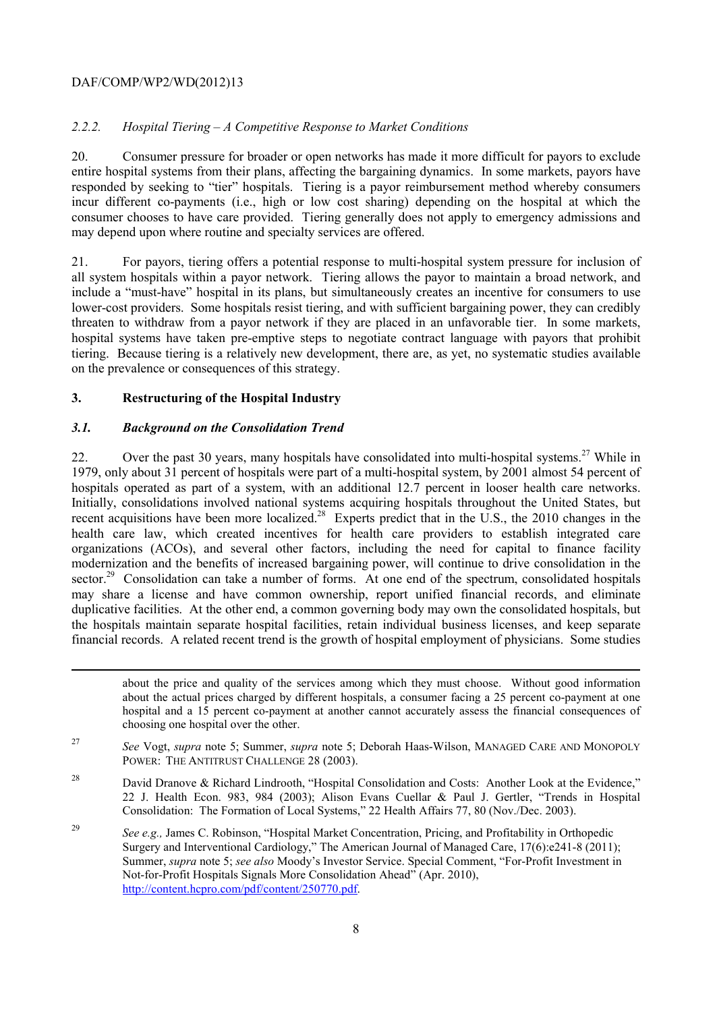# *2.2.2. Hospital Tiering – A Competitive Response to Market Conditions*

 20. Consumer pressure for broader or open networks has made it more difficult for payors to exclude entire hospital systems from their plans, affecting the bargaining dynamics. In some markets, payors have responded by seeking to "tier" hospitals. Tiering is a payor reimbursement method whereby consumers incur different co-payments (i.e., high or low cost sharing) depending on the hospital at which the consumer chooses to have care provided. Tiering generally does not apply to emergency admissions and may depend upon where routine and specialty services are offered.

 all system hospitals within a payor network. Tiering allows the payor to maintain a broad network, and threaten to withdraw from a payor network if they are placed in an unfavorable tier. In some markets, 21. For payors, tiering offers a potential response to multi-hospital system pressure for inclusion of include a "must-have" hospital in its plans, but simultaneously creates an incentive for consumers to use lower-cost providers. Some hospitals resist tiering, and with sufficient bargaining power, they can credibly hospital systems have taken pre-emptive steps to negotiate contract language with payors that prohibit tiering. Because tiering is a relatively new development, there are, as yet, no systematic studies available on the prevalence or consequences of this strategy.

## **3. Restructuring of the Hospital Industry**

## *3.1. Background on the Consolidation Trend*

-

hospitals operated as part of a system, with an additional 12.7 percent in looser health care networks. 22. Over the past 30 years, many hospitals have consolidated into multi-hospital systems.<sup>27</sup> While in 1979, only about 31 percent of hospitals were part of a multi-hospital system, by 2001 almost 54 percent of Initially, consolidations involved national systems acquiring hospitals throughout the United States, but recent acquisitions have been more localized.<sup>28</sup> Experts predict that in the U.S., the 2010 changes in the health care law, which created incentives for health care providers to establish integrated care organizations (ACOs), and several other factors, including the need for capital to finance facility modernization and the benefits of increased bargaining power, will continue to drive consolidation in the sector.<sup>29</sup> Consolidation can take a number of forms. At one end of the spectrum, consolidated hospitals may share a license and have common ownership, report unified financial records, and eliminate duplicative facilities. At the other end, a common governing body may own the consolidated hospitals, but the hospitals maintain separate hospital facilities, retain individual business licenses, and keep separate financial records. A related recent trend is the growth of hospital employment of physicians. Some studies

 about the price and quality of the services among which they must choose. Without good information about the actual prices charged by different hospitals, a consumer facing a 25 percent co-payment at one hospital and a 15 percent co-payment at another cannot accurately assess the financial consequences of choosing one hospital over the other.

27 POWER: THE ANTITRUST CHALLENGE 28 (2003). <sup>27</sup>*See* Vogt, *supra* note 5; Summer, *supra* note 5; Deborah Haas-Wilson, MANAGED CARE AND MONOPOLY

<sup>28</sup> David Dranove & Richard Lindrooth, "Hospital Consolidation and Costs: Another Look at the Evidence," 22 J. Health Econ. 983, 984 (2003); Alison Evans Cuellar & Paul J. Gertler, "Trends in Hospital Consolidation: The Formation of Local Systems," 22 Health Affairs 77, 80 (Nov./Dec. 2003).

<sup>29</sup>*See e.g.,* James C. Robinson, "Hospital Market Concentration, Pricing, and Profitability in Orthopedic Surgery and Interventional Cardiology," The American Journal of Managed Care, 17(6):e241-8 (2011); Summer, *supra* note 5; *see also* Moody's Investor Service. Special Comment, "For-Profit Investment in Not-for-Profit Hospitals Signals More Consolidation Ahead" (Apr. 2010), http://content.hcpro.com/pdf/content/250770.pdf.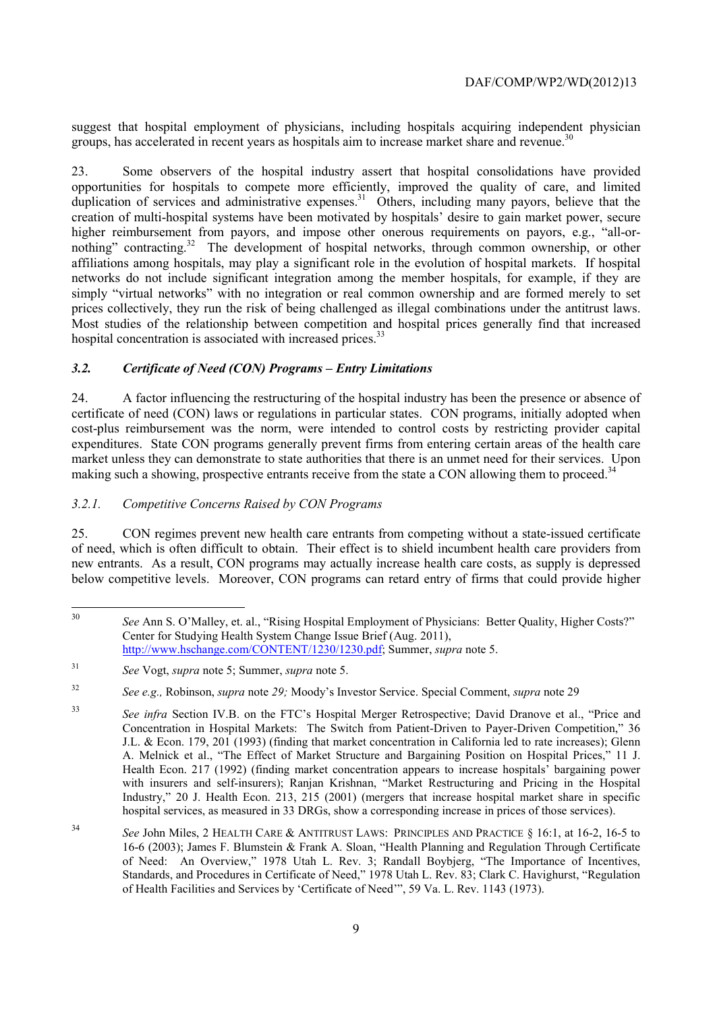suggest that hospital employment of physicians, including hospitals acquiring independent physician groups, has accelerated in recent years as hospitals aim to increase market share and revenue.<sup>30</sup>

nothing" contracting.<sup>32</sup> The development of hospital networks, through common ownership, or other simply "virtual networks" with no integration or real common ownership and are formed merely to set prices collectively, they run the risk of being challenged as illegal combinations under the antitrust laws. Most studies of the relationship between competition and hospital prices generally find that increased 23. Some observers of the hospital industry assert that hospital consolidations have provided opportunities for hospitals to compete more efficiently, improved the quality of care, and limited duplication of services and administrative expenses.<sup>31</sup> Others, including many payors, believe that the creation of multi-hospital systems have been motivated by hospitals' desire to gain market power, secure higher reimbursement from payors, and impose other onerous requirements on payors, e.g., "all-oraffiliations among hospitals, may play a significant role in the evolution of hospital markets. If hospital networks do not include significant integration among the member hospitals, for example, if they are hospital concentration is associated with increased prices.<sup>33</sup>

## *3.2. Certificate of Need (CON) Programs – Entry Limitations*

24. A factor influencing the restructuring of the hospital industry has been the presence or absence of certificate of need (CON) laws or regulations in particular states. CON programs, initially adopted when cost-plus reimbursement was the norm, were intended to control costs by restricting provider capital expenditures. State CON programs generally prevent firms from entering certain areas of the health care market unless they can demonstrate to state authorities that there is an unmet need for their services. Upon making such a showing, prospective entrants receive from the state a CON allowing them to proceed. $34$ 

## *3.2.1. Competitive Concerns Raised by CON Programs*

 below competitive levels. Moreover, CON programs can retard entry of firms that could provide higher 25. CON regimes prevent new health care entrants from competing without a state-issued certificate of need, which is often difficult to obtain. Their effect is to shield incumbent health care providers from new entrants. As a result, CON programs may actually increase health care costs, as supply is depressed

 <sup>30</sup>*See* Ann S. O'Malley, et. al., "Rising Hospital Employment of Physicians: Better Quality, Higher Costs?" Center for Studying Health System Change Issue Brief (Aug. 2011), http://www.hschange.com/CONTENT/1230/1230.pdf; Summer, *supra* note 5.

 $31$ <sup>31</sup>*See* Vogt, *supra* note 5; Summer, *supra* note 5.

<sup>32</sup> <sup>32</sup>*See e.g.,* Robinson, *supra* note *29;* Moody's Investor Service. Special Comment, *supra* note 29

 J.L. & Econ. 179, 201 (1993) (finding that market concentration in California led to rate increases); Glenn A. Melnick et al., "The Effect of Market Structure and Bargaining Position on Hospital Prices," 11 J. Industry," 20 J. Health Econ. 213, 215 (2001) (mergers that increase hospital market share in specific <sup>33</sup>*See infra* Section IV.B. on the FTC's Hospital Merger Retrospective; David Dranove et al., "Price and Concentration in Hospital Markets: The Switch from Patient-Driven to Payer-Driven Competition," 36 Health Econ. 217 (1992) (finding market concentration appears to increase hospitals' bargaining power with insurers and self-insurers); Ranjan Krishnan, "Market Restructuring and Pricing in the Hospital hospital services, as measured in 33 DRGs, show a corresponding increase in prices of those services).

 of Need: An Overview," 1978 Utah L. Rev. 3; Randall Boybjerg, "The Importance of Incentives, <sup>34</sup>*See* John Miles, 2 HEALTH CARE & ANTITRUST LAWS: PRINCIPLES AND PRACTICE § 16:1, at 16-2, 16-5 to 16-6 (2003); James F. Blumstein & Frank A. Sloan, "Health Planning and Regulation Through Certificate Standards, and Procedures in Certificate of Need," 1978 Utah L. Rev. 83; Clark C. Havighurst, "Regulation of Health Facilities and Services by 'Certificate of Need'", 59 Va. L. Rev. 1143 (1973).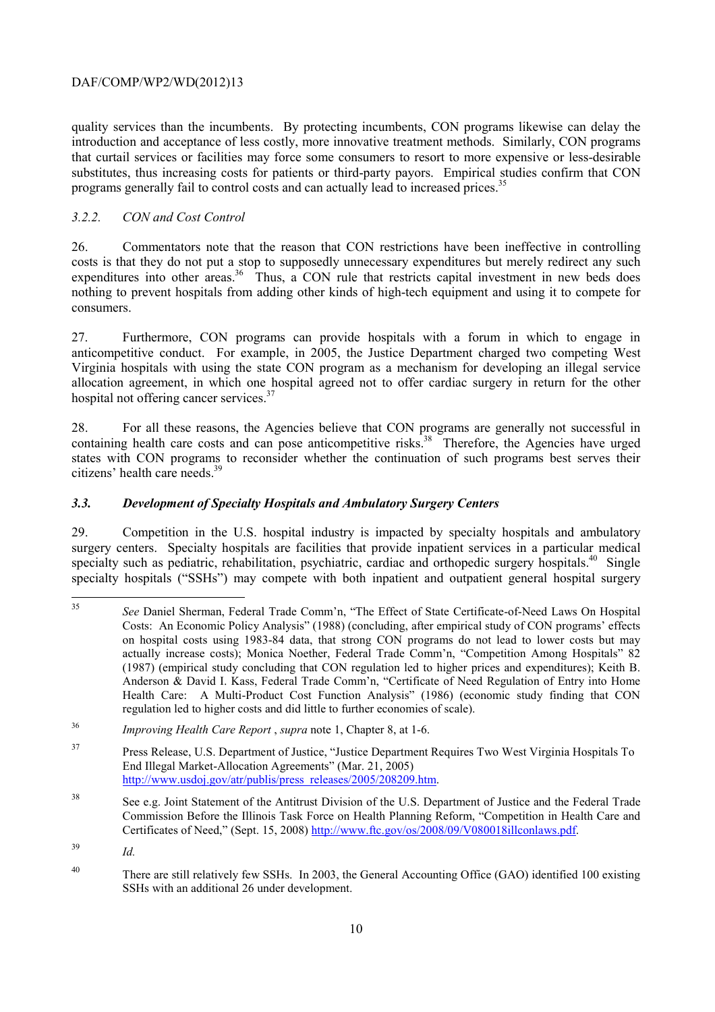quality services than the incumbents. By protecting incumbents, CON programs likewise can delay the introduction and acceptance of less costly, more innovative treatment methods. Similarly, CON programs that curtail services or facilities may force some consumers to resort to more expensive or less-desirable substitutes, thus increasing costs for patients or third-party payors. Empirical studies confirm that CON programs generally fail to control costs and can actually lead to increased prices.<sup>35</sup>

# *3.2.2. CON and Cost Control*

26. Commentators note that the reason that CON restrictions have been ineffective in controlling costs is that they do not put a stop to supposedly unnecessary expenditures but merely redirect any such expenditures into other areas.<sup>36</sup> Thus, a CON rule that restricts capital investment in new beds does nothing to prevent hospitals from adding other kinds of high-tech equipment and using it to compete for consumers.

27. Furthermore, CON programs can provide hospitals with a forum in which to engage in anticompetitive conduct. For example, in 2005, the Justice Department charged two competing West Virginia hospitals with using the state CON program as a mechanism for developing an illegal service allocation agreement, in which one hospital agreed not to offer cardiac surgery in return for the other hospital not offering cancer services.<sup>37</sup>

containing health care costs and can pose anticompetitive risks.<sup>38</sup> Therefore, the Agencies have urged 28. For all these reasons, the Agencies believe that CON programs are generally not successful in states with CON programs to reconsider whether the continuation of such programs best serves their citizens' health care needs.<sup>39</sup>

# *3.3. Development of Specialty Hospitals and Ambulatory Surgery Centers*

29. Competition in the U.S. hospital industry is impacted by specialty hospitals and ambulatory surgery centers. Specialty hospitals are facilities that provide inpatient services in a particular medical specialty such as pediatric, rehabilitation, psychiatric, cardiac and orthopedic surgery hospitals.<sup>40</sup> Single specialty hospitals ("SSHs") may compete with both inpatient and outpatient general hospital surgery

 Costs: An Economic Policy Analysis" (1988) (concluding, after empirical study of CON programs' effects on hospital costs using 1983-84 data, that strong CON programs do not lead to lower costs but may actually increase costs); Monica Noether, Federal Trade Comm'n, "Competition Among Hospitals" 82 Health Care: A Multi-Product Cost Function Analysis" (1986) (economic study finding that CON <sup>35</sup>*See* Daniel Sherman, Federal Trade Comm'n, "The Effect of State Certificate-of-Need Laws On Hospital (1987) (empirical study concluding that CON regulation led to higher prices and expenditures); Keith B. Anderson & David I. Kass, Federal Trade Comm'n, "Certificate of Need Regulation of Entry into Home regulation led to higher costs and did little to further economies of scale).

<sup>36</sup>*Improving Health Care Report* , *supra* note 1, Chapter 8, at 1-6.

<sup>37</sup> Press Release, U.S. Department of Justice, "Justice Department Requires Two West Virginia Hospitals To End Illegal Market-Allocation Agreements" (Mar. 21, 2005) http://www.usdoj.gov/atr/publis/press\_releases/2005/208209.htm.

<sup>38</sup> See e.g. Joint Statement of the Antitrust Division of the U.S. Department of Justice and the Federal Trade Commission Before the Illinois Task Force on Health Planning Reform, "Competition in Health Care and Certificates of Need," (Sept. 15, 2008) http://www.ftc.gov/os/2008/09/V080018illconlaws.pdf.

<sup>39</sup>*Id.* 

<sup>&</sup>lt;sup>40</sup> There are still relatively few SSHs. In 2003, the General Accounting Office (GAO) identified 100 existing SSHs with an additional 26 under development.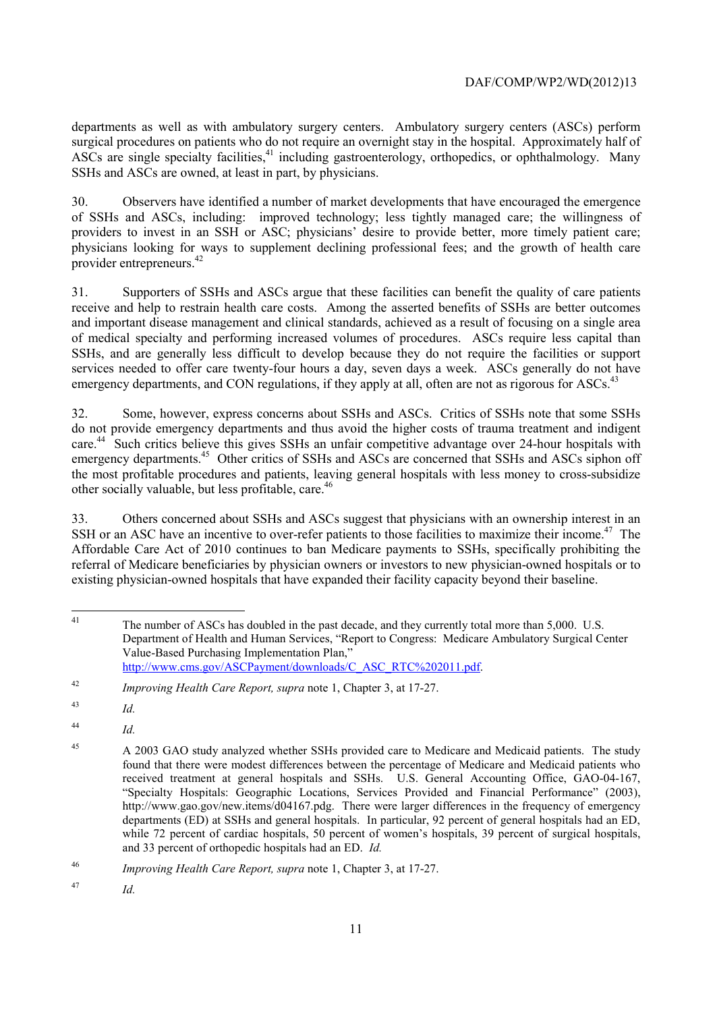departments as well as with ambulatory surgery centers. Ambulatory surgery centers (ASCs) perform surgical procedures on patients who do not require an overnight stay in the hospital. Approximately half of ASCs are single specialty facilities,<sup>41</sup> including gastroenterology, orthopedics, or ophthalmology. Many SSHs and ASCs are owned, at least in part, by physicians.

30. Observers have identified a number of market developments that have encouraged the emergence of SSHs and ASCs, including: improved technology; less tightly managed care; the willingness of providers to invest in an SSH or ASC; physicians' desire to provide better, more timely patient care; physicians looking for ways to supplement declining professional fees; and the growth of health care provider entrepreneurs.<sup>42</sup>

31. Supporters of SSHs and ASCs argue that these facilities can benefit the quality of care patients receive and help to restrain health care costs. Among the asserted benefits of SSHs are better outcomes and important disease management and clinical standards, achieved as a result of focusing on a single area of medical specialty and performing increased volumes of procedures. ASCs require less capital than SSHs, and are generally less difficult to develop because they do not require the facilities or support services needed to offer care twenty-four hours a day, seven days a week. ASCs generally do not have emergency departments, and CON regulations, if they apply at all, often are not as rigorous for ASCs.<sup>43</sup>

32. Some, however, express concerns about SSHs and ASCs. Critics of SSHs note that some SSHs do not provide emergency departments and thus avoid the higher costs of trauma treatment and indigent care.<sup>44</sup> Such critics believe this gives SSHs an unfair competitive advantage over 24-hour hospitals with emergency departments.<sup>45</sup> Other critics of SSHs and ASCs are concerned that SSHs and ASCs siphon off the most profitable procedures and patients, leaving general hospitals with less money to cross-subsidize other socially valuable, but less profitable, care.<sup>46</sup>

SSH or an ASC have an incentive to over-refer patients to those facilities to maximize their income.<sup>47</sup> The referral of Medicare beneficiaries by physician owners or investors to new physician-owned hospitals or to 33. Others concerned about SSHs and ASCs suggest that physicians with an ownership interest in an Affordable Care Act of 2010 continues to ban Medicare payments to SSHs, specifically prohibiting the existing physician-owned hospitals that have expanded their facility capacity beyond their baseline.

<sup>44</sup>*Id.* 

47 *Id.* 

 The number of ASCs has doubled in the past decade, and they currently total more than 5,000. U.S. Department of Health and Human Services, "Report to Congress: Medicare Ambulatory Surgical Center Value-Based Purchasing Implementation Plan," http://www.cms.gov/ASCPayment/downloads/C\_ASC\_RTC%202011.pdf.

<sup>42</sup>*Improving Health Care Report, supra* note 1, Chapter 3, at 17-27.

<sup>43</sup> <sup>43</sup>*Id.* 

 found that there were modest differences between the percentage of Medicare and Medicaid patients who while 72 percent of cardiac hospitals, 50 percent of women's hospitals, 39 percent of surgical hospitals, <sup>45</sup> A 2003 GAO study analyzed whether SSHs provided care to Medicare and Medicaid patients. The study received treatment at general hospitals and SSHs. U.S. General Accounting Office, GAO-04-167, "Specialty Hospitals: Geographic Locations, Services Provided and Financial Performance" (2003), http://www.gao.gov/new.items/d04167.pdg. There were larger differences in the frequency of emergency departments (ED) at SSHs and general hospitals. In particular, 92 percent of general hospitals had an ED, and 33 percent of orthopedic hospitals had an ED. *Id.* 

<sup>46</sup>*Improving Health Care Report, supra* note 1, Chapter 3, at 17-27.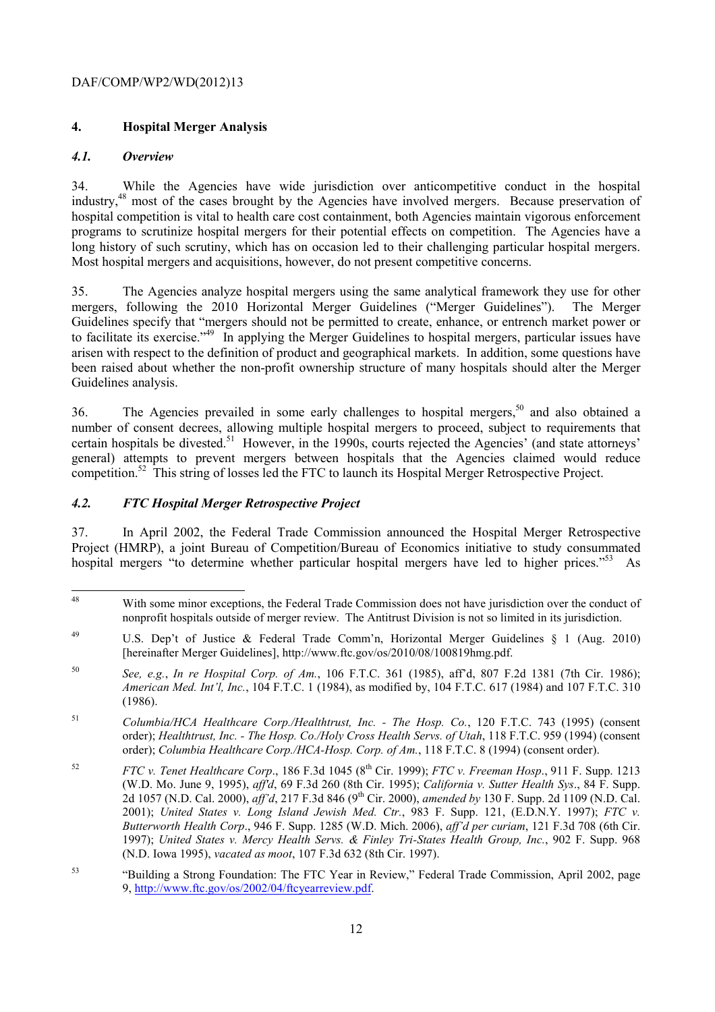# **4. Hospital Merger Analysis**

# *4.1. Overview*

34. While the Agencies have wide jurisdiction over anticompetitive conduct in the hospital industry,48 most of the cases brought by the Agencies have involved mergers. Because preservation of hospital competition is vital to health care cost containment, both Agencies maintain vigorous enforcement programs to scrutinize hospital mergers for their potential effects on competition. The Agencies have a long history of such scrutiny, which has on occasion led to their challenging particular hospital mergers. Most hospital mergers and acquisitions, however, do not present competitive concerns.

35. The Agencies analyze hospital mergers using the same analytical framework they use for other mergers, following the 2010 Horizontal Merger Guidelines ("Merger Guidelines"). The Merger Guidelines specify that "mergers should not be permitted to create, enhance, or entrench market power or to facilitate its exercise."49 In applying the Merger Guidelines to hospital mergers, particular issues have arisen with respect to the definition of product and geographical markets. In addition, some questions have been raised about whether the non-profit ownership structure of many hospitals should alter the Merger Guidelines analysis.

36. The Agencies prevailed in some early challenges to hospital mergers,<sup>50</sup> and also obtained a number of consent decrees, allowing multiple hospital mergers to proceed, subject to requirements that certain hospitals be divested.<sup>51</sup> However, in the 1990s, courts rejected the Agencies' (and state attorneys' general) attempts to prevent mergers between hospitals that the Agencies claimed would reduce competition.52 This string of losses led the FTC to launch its Hospital Merger Retrospective Project.

# *4.2. FTC Hospital Merger Retrospective Project*

37. In April 2002, the Federal Trade Commission announced the Hospital Merger Retrospective Project (HMRP), a joint Bureau of Competition/Bureau of Economics initiative to study consummated hospital mergers "to determine whether particular hospital mergers have led to higher prices."<sup>53</sup> As

 $\overline{a}$ With some minor exceptions, the Federal Trade Commission does not have jurisdiction over the conduct of nonprofit hospitals outside of merger review. The Antitrust Division is not so limited in its jurisdiction.

<sup>&</sup>lt;sup>49</sup> U.S. Dep't of Justice & Federal Trade Comm'n, Horizontal Merger Guidelines  $\frac{1}{2}$  (Aug. 2010) [hereinafter Merger Guidelines], http://www.ftc.gov/os/2010/08/100819hmg.pdf.

<sup>50</sup>*See, e.g.*, *In re Hospital Corp. of Am.*, 106 F.T.C. 361 (1985), aff'd, 807 F.2d 1381 (7th Cir. 1986); *American Med. Int'l, Inc.*, 104 F.T.C. 1 (1984), as modified by, 104 F.T.C. 617 (1984) and 107 F.T.C. 310 (1986).

<sup>51</sup> <sup>51</sup>*Columbia/HCA Healthcare Corp./Healthtrust, Inc. - The Hosp. Co.*, 120 F.T.C. 743 (1995) (consent order); *Healthtrust, Inc. - The Hosp. Co./Holy Cross Health Servs. of Utah*, 118 F.T.C. 959 (1994) (consent order); *Columbia Healthcare Corp./HCA-Hosp. Corp. of Am.*, 118 F.T.C. 8 (1994) (consent order).

 $52$  1997); *United States v. Mercy Health Servs. & Finley Tri-States Health Group, Inc.*, 902 F. Supp. 968 <sup>52</sup>*FTC v. Tenet Healthcare Corp*., 186 F.3d 1045 (8th Cir. 1999); *FTC v. Freeman Hosp*., 911 F. Supp. 1213 (W.D. Mo. June 9, 1995), *aff'd*, 69 F.3d 260 (8th Cir. 1995); *California v. Sutter Health Sys*., 84 F. Supp. 2d 1057 (N.D. Cal. 2000), *aff'd*, 217 F.3d 846 (9th Cir. 2000), *amended by* 130 F. Supp. 2d 1109 (N.D. Cal. 2001); *United States v. Long Island Jewish Med. Ctr.*, 983 F. Supp. 121, (E.D.N.Y. 1997); *FTC v. Butterworth Health Corp*., 946 F. Supp. 1285 (W.D. Mich. 2006), *aff'd per curiam*, 121 F.3d 708 (6th Cir. (N.D. Iowa 1995), *vacated as moot*, 107 F.3d 632 (8th Cir. 1997).

<sup>53 &</sup>quot;Building a Strong Foundation: The FTC Year in Review," Federal Trade Commission, April 2002, page 9, http://www.ftc.gov/os/2002/04/ftcyearreview.pdf.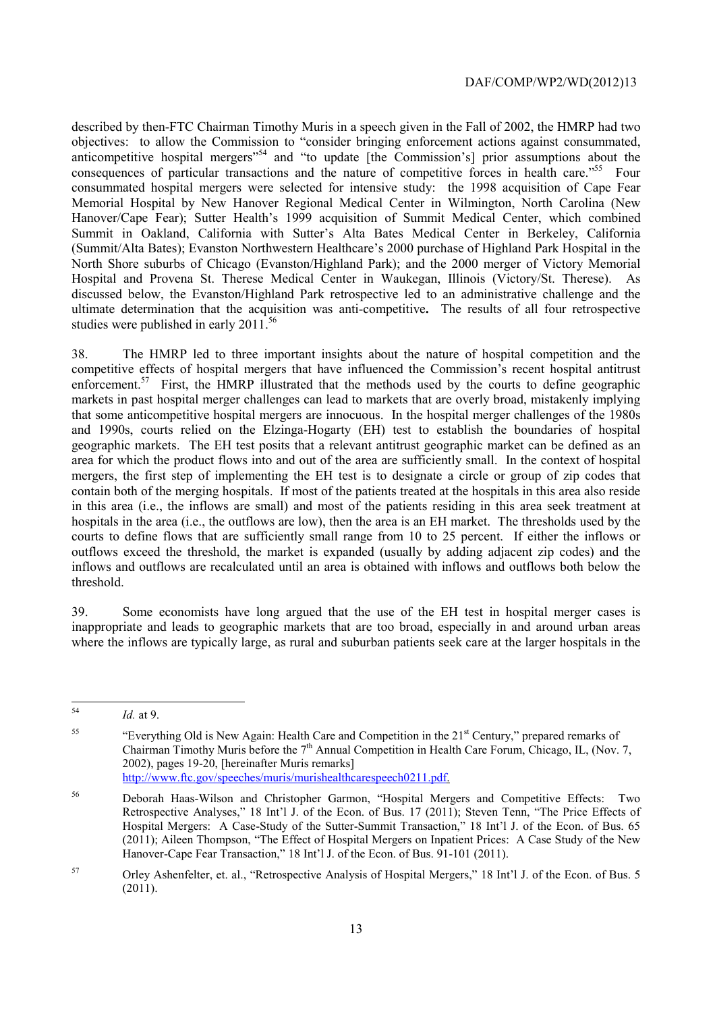ultimate determination that the acquisition was anti-competitive**.** The results of all four retrospective described by then-FTC Chairman Timothy Muris in a speech given in the Fall of 2002, the HMRP had two objectives: to allow the Commission to "consider bringing enforcement actions against consummated, anticompetitive hospital mergers<sup>"54</sup> and "to update [the Commission's] prior assumptions about the consequences of particular transactions and the nature of competitive forces in health care."<sup>55</sup> Four consummated hospital mergers were selected for intensive study: the 1998 acquisition of Cape Fear Memorial Hospital by New Hanover Regional Medical Center in Wilmington, North Carolina (New Hanover/Cape Fear); Sutter Health's 1999 acquisition of Summit Medical Center, which combined Summit in Oakland, California with Sutter's Alta Bates Medical Center in Berkeley, California (Summit/Alta Bates); Evanston Northwestern Healthcare's 2000 purchase of Highland Park Hospital in the North Shore suburbs of Chicago (Evanston/Highland Park); and the 2000 merger of Victory Memorial Hospital and Provena St. Therese Medical Center in Waukegan, Illinois (Victory/St. Therese). As discussed below, the Evanston/Highland Park retrospective led to an administrative challenge and the studies were published in early  $2011^{56}$ 

enforcement.<sup>57</sup> First, the HMRP illustrated that the methods used by the courts to define geographic hospitals in the area (i.e., the outflows are low), then the area is an EH market. The thresholds used by the courts to define flows that are sufficiently small range from 10 to 25 percent. If either the inflows or outflows exceed the threshold, the market is expanded (usually by adding adjacent zip codes) and the inflows and outflows are recalculated until an area is obtained with inflows and outflows both below the 38. The HMRP led to three important insights about the nature of hospital competition and the competitive effects of hospital mergers that have influenced the Commission's recent hospital antitrust markets in past hospital merger challenges can lead to markets that are overly broad, mistakenly implying that some anticompetitive hospital mergers are innocuous. In the hospital merger challenges of the 1980s and 1990s, courts relied on the Elzinga-Hogarty (EH) test to establish the boundaries of hospital geographic markets. The EH test posits that a relevant antitrust geographic market can be defined as an area for which the product flows into and out of the area are sufficiently small. In the context of hospital mergers, the first step of implementing the EH test is to designate a circle or group of zip codes that contain both of the merging hospitals. If most of the patients treated at the hospitals in this area also reside in this area (i.e., the inflows are small) and most of the patients residing in this area seek treatment at threshold.

39. Some economists have long argued that the use of the EH test in hospital merger cases is inappropriate and leads to geographic markets that are too broad, especially in and around urban areas where the inflows are typically large, as rural and suburban patients seek care at the larger hospitals in the

 $\overline{a}$ 

<sup>54</sup>*Id.* at 9.

<sup>55</sup> 55 "Everything Old is New Again: Health Care and Competition in the 21st Century," prepared remarks of Chairman Timothy Muris before the  $7<sup>th</sup>$  Annual Competition in Health Care Forum, Chicago, IL, (Nov. 7, 2002), pages 19-20, [hereinafter Muris remarks] http://www.ftc.gov/speeches/muris/murishealthcarespeech0211.pdf.

 (2011); Aileen Thompson, "The Effect of Hospital Mergers on Inpatient Prices: A Case Study of the New 56 Deborah Haas-Wilson and Christopher Garmon, "Hospital Mergers and Competitive Effects: Two Retrospective Analyses," 18 Int'l J. of the Econ. of Bus. 17 (2011); Steven Tenn, "The Price Effects of Hospital Mergers: A Case-Study of the Sutter-Summit Transaction," 18 Int'l J. of the Econ. of Bus. 65 Hanover-Cape Fear Transaction," 18 Int'l J. of the Econ. of Bus. 91-101 (2011).

<sup>57</sup> 57 Orley Ashenfelter, et. al., "Retrospective Analysis of Hospital Mergers," 18 Int'l J. of the Econ. of Bus. 5  $(2011).$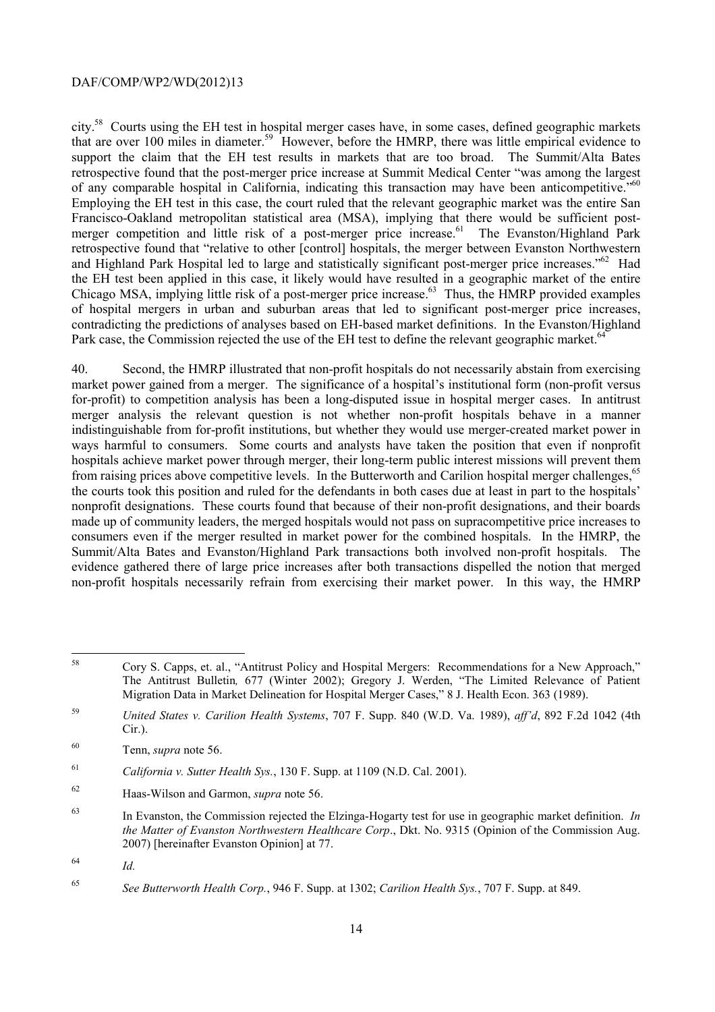of any comparable hospital in California, indicating this transaction may have been anticompetitive."<sup>60</sup> and Highland Park Hospital led to large and statistically significant post-merger price increases."<sup>62</sup> Had city.58 Courts using the EH test in hospital merger cases have, in some cases, defined geographic markets that are over 100 miles in diameter.59 However, before the HMRP, there was little empirical evidence to support the claim that the EH test results in markets that are too broad. The Summit/Alta Bates retrospective found that the post-merger price increase at Summit Medical Center "was among the largest Employing the EH test in this case, the court ruled that the relevant geographic market was the entire San Francisco-Oakland metropolitan statistical area (MSA), implying that there would be sufficient postmerger competition and little risk of a post-merger price increase.<sup>61</sup> The Evanston/Highland Park retrospective found that "relative to other [control] hospitals, the merger between Evanston Northwestern the EH test been applied in this case, it likely would have resulted in a geographic market of the entire Chicago MSA, implying little risk of a post-merger price increase.<sup>63</sup> Thus, the HMRP provided examples of hospital mergers in urban and suburban areas that led to significant post-merger price increases, contradicting the predictions of analyses based on EH-based market definitions. In the Evanston/Highland Park case, the Commission rejected the use of the EH test to define the relevant geographic market.<sup>64</sup>

40. Second, the HMRP illustrated that non-profit hospitals do not necessarily abstain from exercising market power gained from a merger. The significance of a hospital's institutional form (non-profit versus for-profit) to competition analysis has been a long-disputed issue in hospital merger cases. In antitrust merger analysis the relevant question is not whether non-profit hospitals behave in a manner indistinguishable from for-profit institutions, but whether they would use merger-created market power in ways harmful to consumers. Some courts and analysts have taken the position that even if nonprofit hospitals achieve market power through merger, their long-term public interest missions will prevent them from raising prices above competitive levels. In the Butterworth and Carilion hospital merger challenges,<sup>65</sup> the courts took this position and ruled for the defendants in both cases due at least in part to the hospitals' nonprofit designations. These courts found that because of their non-profit designations, and their boards made up of community leaders, the merged hospitals would not pass on supracompetitive price increases to consumers even if the merger resulted in market power for the combined hospitals. In the HMRP, the Summit/Alta Bates and Evanston/Highland Park transactions both involved non-profit hospitals. The evidence gathered there of large price increases after both transactions dispelled the notion that merged non-profit hospitals necessarily refrain from exercising their market power. In this way, the HMRP

 $\overline{a}$ 

<sup>58</sup> Cory S. Capps, et. al., "Antitrust Policy and Hospital Mergers: Recommendations for a New Approach," The Antitrust Bulletin*,* 677 (Winter 2002); Gregory J. Werden, "The Limited Relevance of Patient Migration Data in Market Delineation for Hospital Merger Cases," 8 J. Health Econ. 363 (1989).

<sup>59</sup>*United States v. Carilion Health Systems*, 707 F. Supp. 840 (W.D. Va. 1989), *aff'd*, 892 F.2d 1042 (4th Cir.).

<sup>60</sup> Tenn, *supra* note 56.

<sup>61</sup>*California v. Sutter Health Sys.*, 130 F. Supp. at 1109 (N.D. Cal. 2001).

<sup>62</sup> 62 Haas-Wilson and Garmon, *supra* note 56.

<sup>63</sup> In Evanston, the Commission rejected the Elzinga-Hogarty test for use in geographic market definition. *In the Matter of Evanston Northwestern Healthcare Corp*., Dkt. No. 9315 (Opinion of the Commission Aug. 2007) [hereinafter Evanston Opinion] at 77.

<sup>64</sup>*Id.* 

<sup>65</sup>*See Butterworth Health Corp.*, 946 F. Supp. at 1302; *Carilion Health Sys.*, 707 F. Supp. at 849.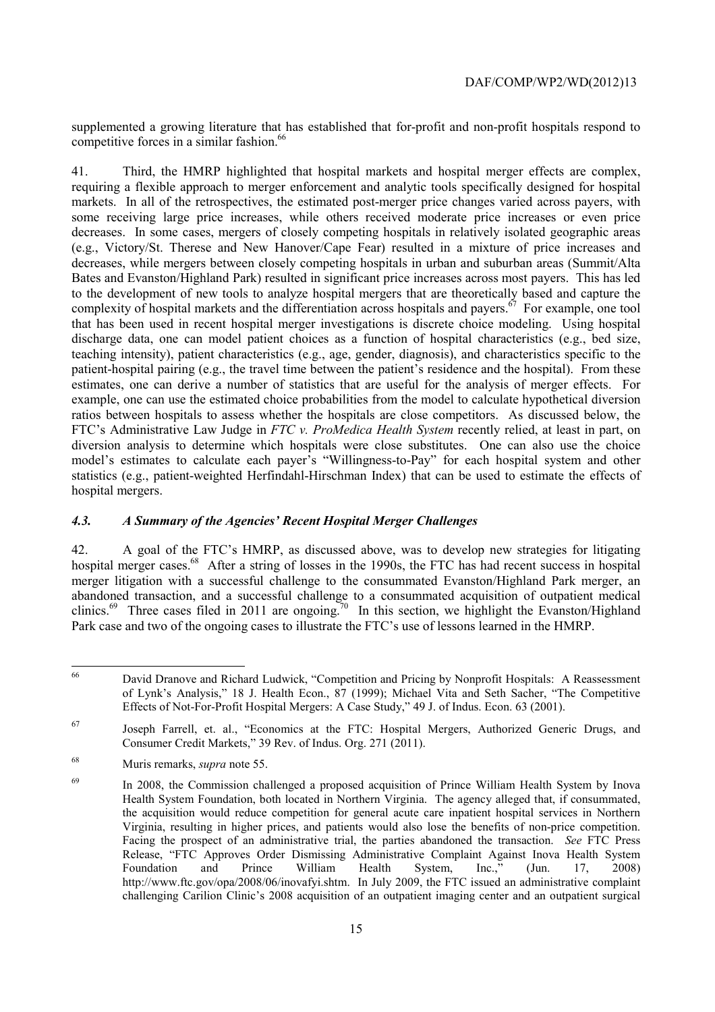supplemented a growing literature that has established that for-profit and non-profit hospitals respond to competitive forces in a similar fashion.<sup>66</sup>

diversion analysis to determine which hospitals were close substitutes. One can also use the choice 41. Third, the HMRP highlighted that hospital markets and hospital merger effects are complex, requiring a flexible approach to merger enforcement and analytic tools specifically designed for hospital markets. In all of the retrospectives, the estimated post-merger price changes varied across payers, with some receiving large price increases, while others received moderate price increases or even price decreases. In some cases, mergers of closely competing hospitals in relatively isolated geographic areas (e.g., Victory/St. Therese and New Hanover/Cape Fear) resulted in a mixture of price increases and decreases, while mergers between closely competing hospitals in urban and suburban areas (Summit/Alta Bates and Evanston/Highland Park) resulted in significant price increases across most payers. This has led to the development of new tools to analyze hospital mergers that are theoretically based and capture the complexity of hospital markets and the differentiation across hospitals and payers.<sup>67</sup> For example, one tool that has been used in recent hospital merger investigations is discrete choice modeling. Using hospital discharge data, one can model patient choices as a function of hospital characteristics (e.g., bed size, teaching intensity), patient characteristics (e.g., age, gender, diagnosis), and characteristics specific to the patient-hospital pairing (e.g., the travel time between the patient's residence and the hospital). From these estimates, one can derive a number of statistics that are useful for the analysis of merger effects. For example, one can use the estimated choice probabilities from the model to calculate hypothetical diversion ratios between hospitals to assess whether the hospitals are close competitors. As discussed below, the FTC's Administrative Law Judge in *FTC v. ProMedica Health System* recently relied, at least in part, on model's estimates to calculate each payer's "Willingness-to-Pay" for each hospital system and other statistics (e.g., patient-weighted Herfindahl-Hirschman Index) that can be used to estimate the effects of hospital mergers.

#### *4.3. A Summary of the Agencies' Recent Hospital Merger Challenges*

clinics.<sup>69</sup> Three cases filed in 2011 are ongoing.<sup>70</sup> In this section, we highlight the Evanston/Highland 42. A goal of the FTC's HMRP, as discussed above, was to develop new strategies for litigating hospital merger cases.<sup>68</sup> After a string of losses in the 1990s, the FTC has had recent success in hospital merger litigation with a successful challenge to the consummated Evanston/Highland Park merger, an abandoned transaction, and a successful challenge to a consummated acquisition of outpatient medical Park case and two of the ongoing cases to illustrate the FTC's use of lessons learned in the HMRP.

<sup>66</sup> David Dranove and Richard Ludwick, "Competition and Pricing by Nonprofit Hospitals: A Reassessment of Lynk's Analysis," 18 J. Health Econ., 87 (1999); Michael Vita and Seth Sacher, "The Competitive Effects of Not-For-Profit Hospital Mergers: A Case Study," 49 J. of Indus. Econ. 63 (2001).

<sup>67</sup> Joseph Farrell, et. al., "Economics at the FTC: Hospital Mergers, Authorized Generic Drugs, and Consumer Credit Markets," 39 Rev. of Indus. Org. 271 (2011).

<sup>68</sup> Muris remarks, *supra* note 55.

Virginia, resulting in higher prices, and patients would also lose the benefits of non-price competition. Virginia, resulting in higher prices, and patients would also lose the benefits of non-price competition. Facing the prospect of an administrative trial, the parties abandoned the transaction. *See* FTC Press William challenging Carilion Clinic's 2008 acquisition of an outpatient imaging center and an outpatient surgical 69 In 2008, the Commission challenged a proposed acquisition of Prince William Health System by Inova Health System Foundation, both located in Northern Virginia. The agency alleged that, if consummated, the acquisition would reduce competition for general acute care inpatient hospital services in Northern Release, "FTC Approves Order Dismissing Administrative Complaint Against Inova Health System<br>Foundation and Prince William Health System, Inc.." (Jun. 17. 2008) Foundation and Prince William Health System, Inc.," (Jun. 17, 2008) http://www.ftc.gov/opa/2008/06/inovafyi.shtm. In July 2009, the FTC issued an administrative complaint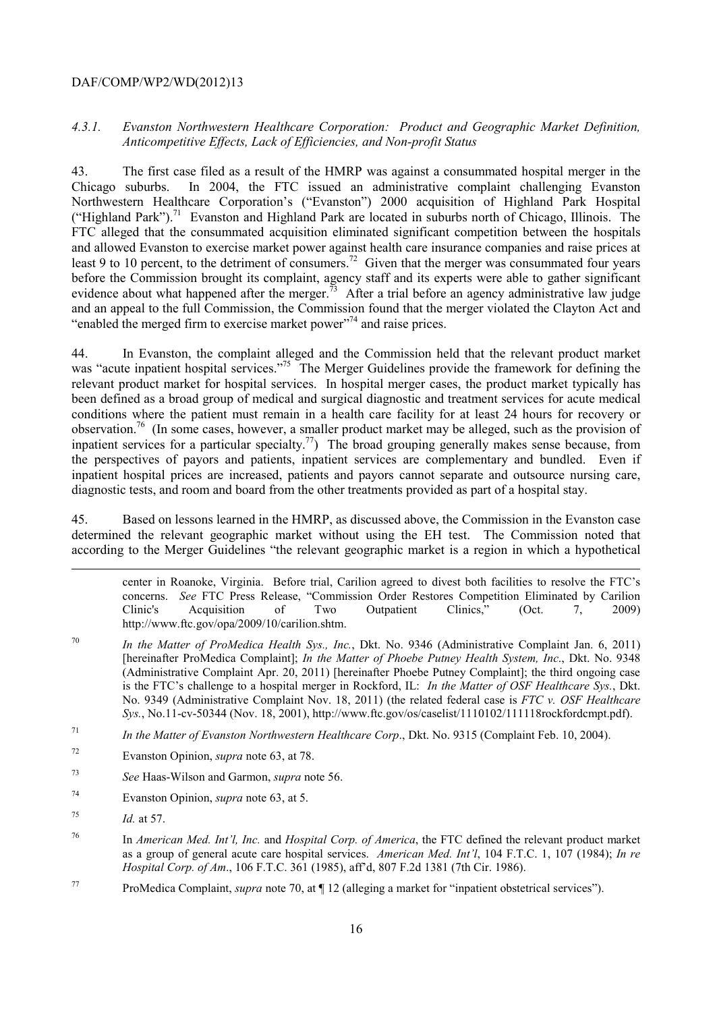#### *4.3.1. Evanston Northwestern Healthcare Corporation: Product and Geographic Market Definition, Anticompetitive Effects, Lack of Efficiencies, and Non-profit Status*

("Highland Park").<sup>71</sup> Evanston and Highland Park are located in suburbs north of Chicago, Illinois. The ĺ 43. The first case filed as a result of the HMRP was against a consummated hospital merger in the Chicago suburbs. In 2004, the FTC issued an administrative complaint challenging Evanston Northwestern Healthcare Corporation's ("Evanston") 2000 acquisition of Highland Park Hospital FTC alleged that the consummated acquisition eliminated significant competition between the hospitals and allowed Evanston to exercise market power against health care insurance companies and raise prices at least 9 to 10 percent, to the detriment of consumers.<sup>72</sup> Given that the merger was consummated four years before the Commission brought its complaint, agency staff and its experts were able to gather significant evidence about what happened after the merger.<sup>73</sup> After a trial before an agency administrative law judge and an appeal to the full Commission, the Commission found that the merger violated the Clayton Act and "enabled the merged firm to exercise market power"74 and raise prices.

44. In Evanston, the complaint alleged and the Commission held that the relevant product market was "acute inpatient hospital services."<sup>75</sup> The Merger Guidelines provide the framework for defining the relevant product market for hospital services. In hospital merger cases, the product market typically has been defined as a broad group of medical and surgical diagnostic and treatment services for acute medical conditions where the patient must remain in a health care facility for at least 24 hours for recovery or observation.76 (In some cases, however, a smaller product market may be alleged, such as the provision of inpatient services for a particular specialty.<sup>77</sup>) The broad grouping generally makes sense because, from the perspectives of payors and patients, inpatient services are complementary and bundled. Even if inpatient hospital prices are increased, patients and payors cannot separate and outsource nursing care, diagnostic tests, and room and board from the other treatments provided as part of a hospital stay.

 determined the relevant geographic market without using the EH test. The Commission noted that 45. Based on lessons learned in the HMRP, as discussed above, the Commission in the Evanston case according to the Merger Guidelines "the relevant geographic market is a region in which a hypothetical

center in Roanoke, Virginia. Before trial, Carilion agreed to divest both facilities to resolve the FTC's concerns. *See* FTC Press Release, "Commission Order Restores Competition Eliminated by Carilion Clinic's Acquisition of Two Outpatient Clinics," (Oct. 7, 2009) http://www.ftc.gov/opa/2009/10/carilion.shtm.

- 70 <sup>70</sup>*In the Matter of ProMedica Health Sys., Inc.*, Dkt. No. 9346 (Administrative Complaint Jan. 6, 2011) [hereinafter ProMedica Complaint]; *In the Matter of Phoebe Putney Health System, Inc*., Dkt. No. 9348 (Administrative Complaint Apr. 20, 2011) [hereinafter Phoebe Putney Complaint]; the third ongoing case is the FTC's challenge to a hospital merger in Rockford, IL: *In the Matter of OSF Healthcare Sys.*, Dkt. No. 9349 (Administrative Complaint Nov. 18, 2011) (the related federal case is *FTC v. OSF Healthcare Sys.*, No.11-cv-50344 (Nov. 18, 2001), http://www.ftc.gov/os/caselist/1110102/111118rockfordcmpt.pdf).
- 71 <sup>71</sup>*In the Matter of Evanston Northwestern Healthcare Corp*., Dkt. No. 9315 (Complaint Feb. 10, 2004).
- 72 72 Evanston Opinion, *supra* note 63, at 78.
- <sup>73</sup>*See* Haas-Wilson and Garmon, *supra* note 56.
- 74 Evanston Opinion, *supra* note 63, at 5.
- <sup>75</sup>*Id.* at 57.

-

- 76 as a group of general acute care hospital services. *American Med. Int'l*, 104 F.T.C. 1, 107 (1984); *In re*  76 In *American Med. Int'l, Inc.* and *Hospital Corp. of America*, the FTC defined the relevant product market *Hospital Corp. of Am*., 106 F.T.C. 361 (1985), aff'd, 807 F.2d 1381 (7th Cir. 1986).
- 77 77 ProMedica Complaint, *supra* note 70, at ¶ 12 (alleging a market for "inpatient obstetrical services").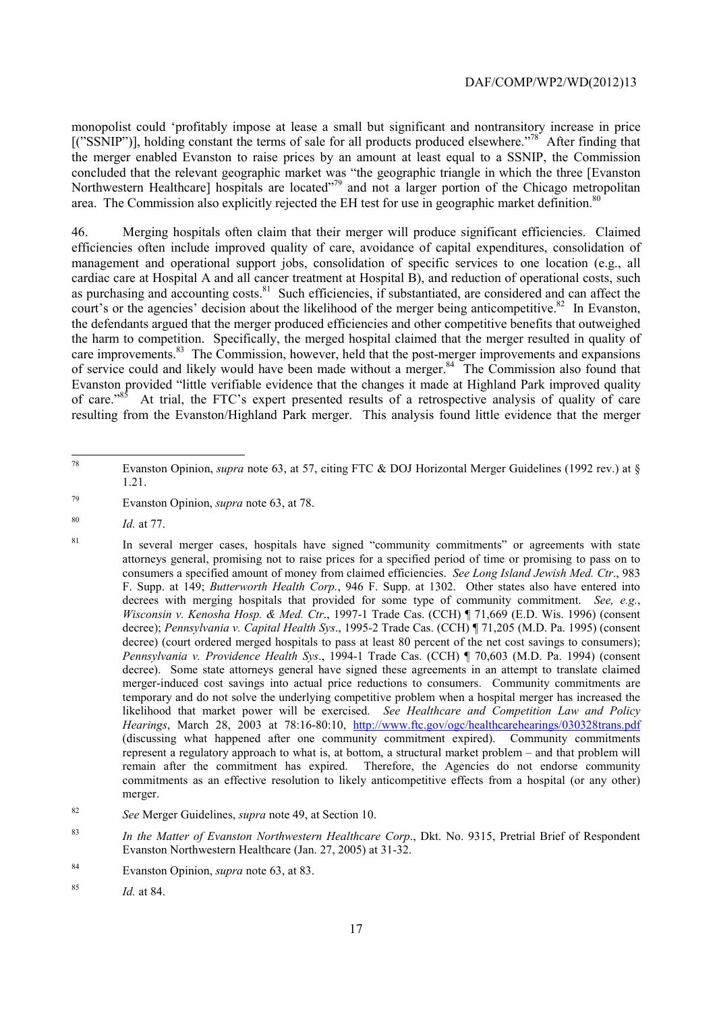area. The Commission also explicitly rejected the EH test for use in geographic market definition.<sup>80</sup> monopolist could 'profitably impose at lease a small but significant and nontransitory increase in price  $[("SSNIP")]$ , holding constant the terms of sale for all products produced elsewhere."<sup>78'</sup> After finding that the merger enabled Evanston to raise prices by an amount at least equal to a SSNIP, the Commission concluded that the relevant geographic market was "the geographic triangle in which the three [Evanston Northwestern Healthcare] hospitals are located"<sup>79</sup> and not a larger portion of the Chicago metropolitan

court's or the agencies' decision about the likelihood of the merger being anticompetitive.<sup>82</sup> In Evanston, 46. Merging hospitals often claim that their merger will produce significant efficiencies. Claimed efficiencies often include improved quality of care, avoidance of capital expenditures, consolidation of management and operational support jobs, consolidation of specific services to one location (e.g., all cardiac care at Hospital A and all cancer treatment at Hospital B), and reduction of operational costs, such as purchasing and accounting costs.<sup>81</sup> Such efficiencies, if substantiated, are considered and can affect the the defendants argued that the merger produced efficiencies and other competitive benefits that outweighed the harm to competition. Specifically, the merged hospital claimed that the merger resulted in quality of care improvements.<sup>83</sup> The Commission, however, held that the post-merger improvements and expansions of service could and likely would have been made without a merger.<sup>84</sup> The Commission also found that Evanston provided "little verifiable evidence that the changes it made at Highland Park improved quality of care.<sup>85</sup> At trial, the FTC's expert presented results of a retrospective analysis of quality of care resulting from the Evanston/Highland Park merger. This analysis found little evidence that the merger

<sup>78</sup> Evanston Opinion, *supra* note 63, at 57, citing FTC & DOJ Horizontal Merger Guidelines (1992 rev.) at § 1.21.

<sup>79</sup> 79 Evanston Opinion, *supra* note 63, at 78.

<sup>80</sup>*Id.* at 77.

 consumers a specified amount of money from claimed efficiencies. *See Long Island Jewish Med. Ctr*., 983 decrees with merging hospitals that provided for some type of community commitment. *See, e.g.*, (discussing what happened after one community commitment expired). Community commitments represent a regulatory approach to what is, at bottom, a structural market problem – and that problem will <sup>81</sup> In several merger cases, hospitals have signed "community commitments" or agreements with state attorneys general, promising not to raise prices for a specified period of time or promising to pass on to F. Supp. at 149; *Butterworth Health Corp.*, 946 F. Supp. at 1302. Other states also have entered into *Wisconsin v. Kenosha Hosp. & Med. Ctr*., 1997-1 Trade Cas. (CCH) ¶ 71,669 (E.D. Wis. 1996) (consent decree); *Pennsylvania v. Capital Health Sys*., 1995-2 Trade Cas. (CCH) ¶ 71,205 (M.D. Pa. 1995) (consent decree) (court ordered merged hospitals to pass at least 80 percent of the net cost savings to consumers); *Pennsylvania v. Providence Health Sys*., 1994-1 Trade Cas. (CCH) ¶ 70,603 (M.D. Pa. 1994) (consent decree). Some state attorneys general have signed these agreements in an attempt to translate claimed merger-induced cost savings into actual price reductions to consumers. Community commitments are temporary and do not solve the underlying competitive problem when a hospital merger has increased the likelihood that market power will be exercised. *See Healthcare and Competition Law and Policy Hearings*, March 28, 2003 at 78:16-80:10, http://www.ftc.gov/ogc/healthcarehearings/030328trans.pdf remain after the commitment has expired. Therefore, the Agencies do not endorse community commitments as an effective resolution to likely anticompetitive effects from a hospital (or any other) merger.

<sup>82</sup>*See* Merger Guidelines, *supra* note 49, at Section 10.

<sup>83</sup>*In the Matter of Evanston Northwestern Healthcare Corp*., Dkt. No. 9315, Pretrial Brief of Respondent Evanston Northwestern Healthcare (Jan. 27, 2005) at 31-32.

<sup>84</sup> Evanston Opinion, *supra* note 63, at 83.

<sup>85</sup>*Id.* at 84.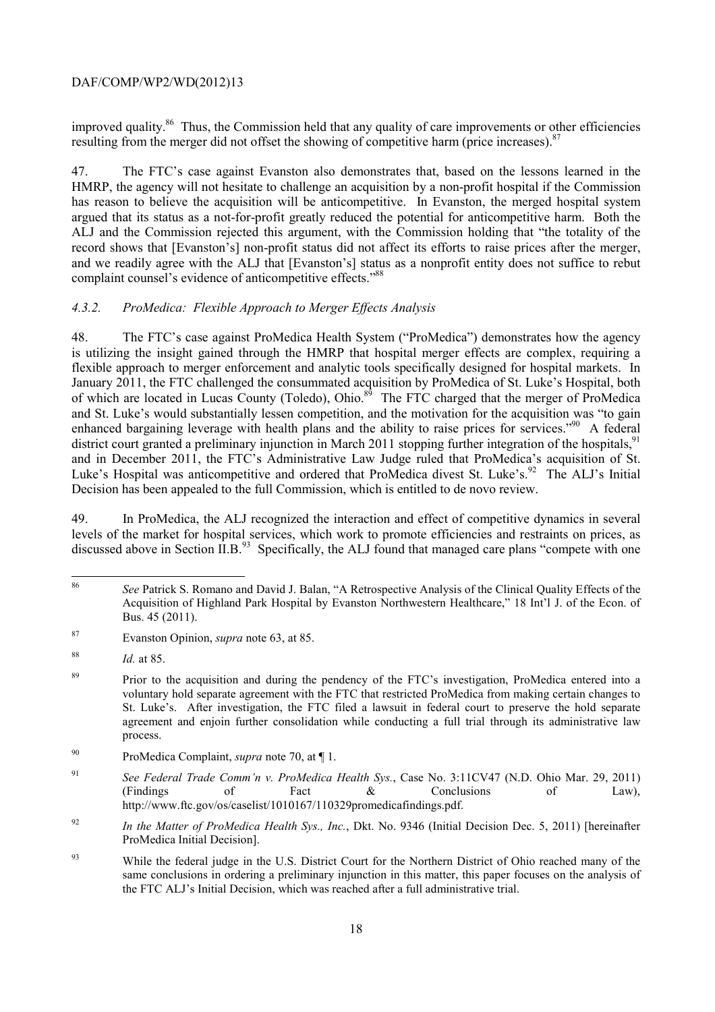improved quality.<sup>86</sup> Thus, the Commission held that any quality of care improvements or other efficiencies resulting from the merger did not offset the showing of competitive harm (price increases).  $87$ 

47. The FTC's case against Evanston also demonstrates that, based on the lessons learned in the HMRP, the agency will not hesitate to challenge an acquisition by a non-profit hospital if the Commission has reason to believe the acquisition will be anticompetitive. In Evanston, the merged hospital system argued that its status as a not-for-profit greatly reduced the potential for anticompetitive harm. Both the ALJ and the Commission rejected this argument, with the Commission holding that "the totality of the record shows that [Evanston's] non-profit status did not affect its efforts to raise prices after the merger, and we readily agree with the ALJ that [Evanston's] status as a nonprofit entity does not suffice to rebut complaint counsel's evidence of anticompetitive effects."<sup>88</sup>

## *4.3.2. ProMedica: Flexible Approach to Merger Effects Analysis*

48. The FTC's case against ProMedica Health System ("ProMedica") demonstrates how the agency is utilizing the insight gained through the HMRP that hospital merger effects are complex, requiring a flexible approach to merger enforcement and analytic tools specifically designed for hospital markets. In January 2011, the FTC challenged the consummated acquisition by ProMedica of St. Luke's Hospital, both of which are located in Lucas County (Toledo), Ohio.<sup>89</sup> The FTC charged that the merger of ProMedica and St. Luke's would substantially lessen competition, and the motivation for the acquisition was "to gain enhanced bargaining leverage with health plans and the ability to raise prices for services."<sup>90</sup> A federal district court granted a preliminary injunction in March 2011 stopping further integration of the hospitals,  $91$ and in December 2011, the FTC's Administrative Law Judge ruled that ProMedica's acquisition of St. Luke's Hospital was anticompetitive and ordered that ProMedica divest St. Luke's.<sup>92</sup> The ALJ's Initial Decision has been appealed to the full Commission, which is entitled to de novo review.

49. In ProMedica, the ALJ recognized the interaction and effect of competitive dynamics in several levels of the market for hospital services, which work to promote efficiencies and restraints on prices, as discussed above in Section  $\Pi B$ <sup>93</sup> Specifically, the ALJ found that managed care plans "compete with one

87 Evanston Opinion, *supra* note 63, at 85.

 $\overline{a}$ 

<sup>86</sup>*See* Patrick S. Romano and David J. Balan, "A Retrospective Analysis of the Clinical Quality Effects of the Acquisition of Highland Park Hospital by Evanston Northwestern Healthcare," 18 Int'l J. of the Econ. of Bus. 45 (2011).

<sup>88</sup> <sup>88</sup>*Id.* at 85.

 St. Luke's. After investigation, the FTC filed a lawsuit in federal court to preserve the hold separate <sup>89</sup> Prior to the acquisition and during the pendency of the FTC's investigation, ProMedica entered into a voluntary hold separate agreement with the FTC that restricted ProMedica from making certain changes to agreement and enjoin further consolidation while conducting a full trial through its administrative law process.

<sup>90</sup> ProMedica Complaint, *supra* note 70, at ¶ 1.

<sup>91</sup>*See Federal Trade Comm'n v. ProMedica Health Sys.*, Case No. 3:11CV47 (N.D. Ohio Mar. 29, 2011) (Findings of Fact & Conclusions of Law), http://www.ftc.gov/os/caselist/1010167/110329promedicafindings.pdf.

<sup>92</sup>*In the Matter of ProMedica Health Sys., Inc.*, Dkt. No. 9346 (Initial Decision Dec. 5, 2011) [hereinafter ProMedica Initial Decision].

<sup>&</sup>lt;sup>93</sup> While the federal judge in the U.S. District Court for the Northern District of Ohio reached many of the same conclusions in ordering a preliminary injunction in this matter, this paper focuses on the analysis of the FTC ALJ's Initial Decision, which was reached after a full administrative trial.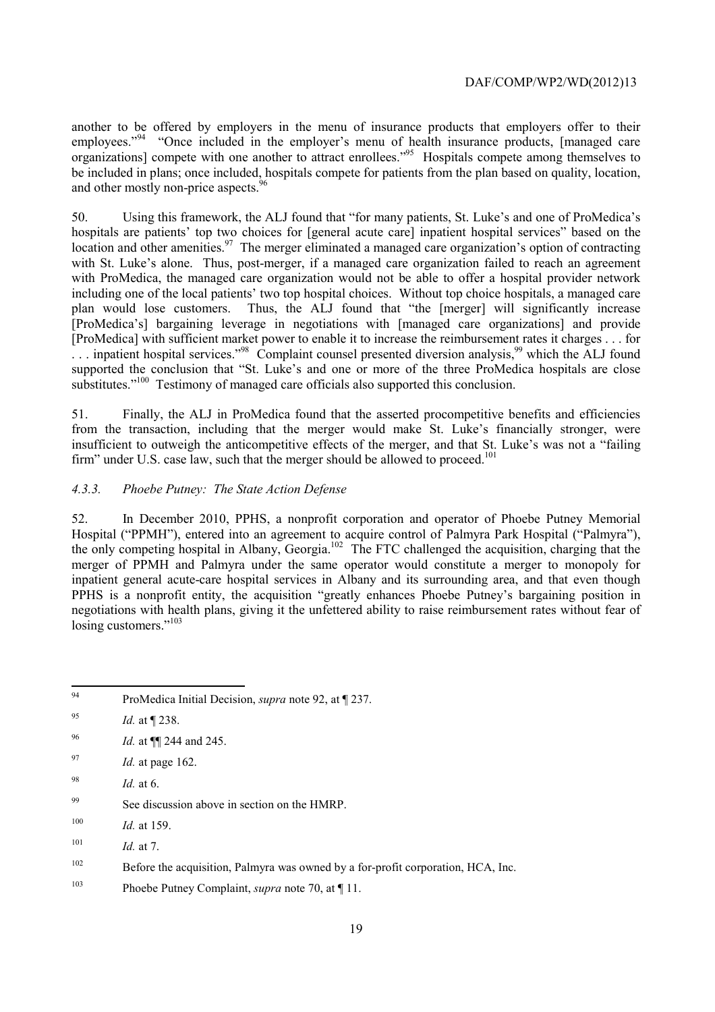another to be offered by employers in the menu of insurance products that employers offer to their employees."<sup>94</sup> "Once included in the employer's menu of health insurance products, [managed care organizations] compete with one another to attract enrollees."<sup>95</sup> Hospitals compete among themselves to be included in plans; once included, hospitals compete for patients from the plan based on quality, location, and other mostly non-price aspects.<sup>96</sup>

 50. Using this framework, the ALJ found that "for many patients, St. Luke's and one of ProMedica's hospitals are patients' top two choices for [general acute care] inpatient hospital services" based on the  $\ldots$  inpatient hospital services."<sup>98</sup> Complaint counsel presented diversion analysis,<sup>99</sup> which the ALJ found location and other amenities.<sup>97</sup> The merger eliminated a managed care organization's option of contracting with St. Luke's alone. Thus, post-merger, if a managed care organization failed to reach an agreement with ProMedica, the managed care organization would not be able to offer a hospital provider network including one of the local patients' two top hospital choices. Without top choice hospitals, a managed care plan would lose customers. Thus, the ALJ found that "the [merger] will significantly increase [ProMedica's] bargaining leverage in negotiations with [managed care organizations] and provide [ProMedica] with sufficient market power to enable it to increase the reimbursement rates it charges . . . for supported the conclusion that "St. Luke's and one or more of the three ProMedica hospitals are close substitutes."<sup>100</sup> Testimony of managed care officials also supported this conclusion.

51. Finally, the ALJ in ProMedica found that the asserted procompetitive benefits and efficiencies from the transaction, including that the merger would make St. Luke's financially stronger, were insufficient to outweigh the anticompetitive effects of the merger, and that St. Luke's was not a "failing firm" under U.S. case law, such that the merger should be allowed to proceed.<sup>101</sup>

## *4.3.3. Phoebe Putney: The State Action Defense*

52. In December 2010, PPHS, a nonprofit corporation and operator of Phoebe Putney Memorial Hospital ("PPMH"), entered into an agreement to acquire control of Palmyra Park Hospital ("Palmyra"), the only competing hospital in Albany, Georgia.<sup>102</sup> The FTC challenged the acquisition, charging that the merger of PPMH and Palmyra under the same operator would constitute a merger to monopoly for inpatient general acute-care hospital services in Albany and its surrounding area, and that even though PPHS is a nonprofit entity, the acquisition "greatly enhances Phoebe Putney's bargaining position in negotiations with health plans, giving it the unfettered ability to raise reimbursement rates without fear of losing customers."<sup>103</sup>

 $\overline{a}$ ProMedica Initial Decision, *supra* note 92, at ¶ 237.

<sup>95</sup> <sup>95</sup>*Id.* at ¶ 238.

<sup>96</sup>*Id.* at ¶¶ 244 and 245.

<sup>97</sup>*Id.* at page 162.

<sup>98</sup> *Id.* at 6.

<sup>99</sup> See discussion above in section on the HMRP.

 $100$  *Id.* at 159.

<sup>101</sup>*Id.* at 7.

<sup>102</sup> Before the acquisition, Palmyra was owned by a for-profit corporation, HCA, Inc.

<sup>103</sup> Phoebe Putney Complaint, *supra* note 70, at ¶ 11.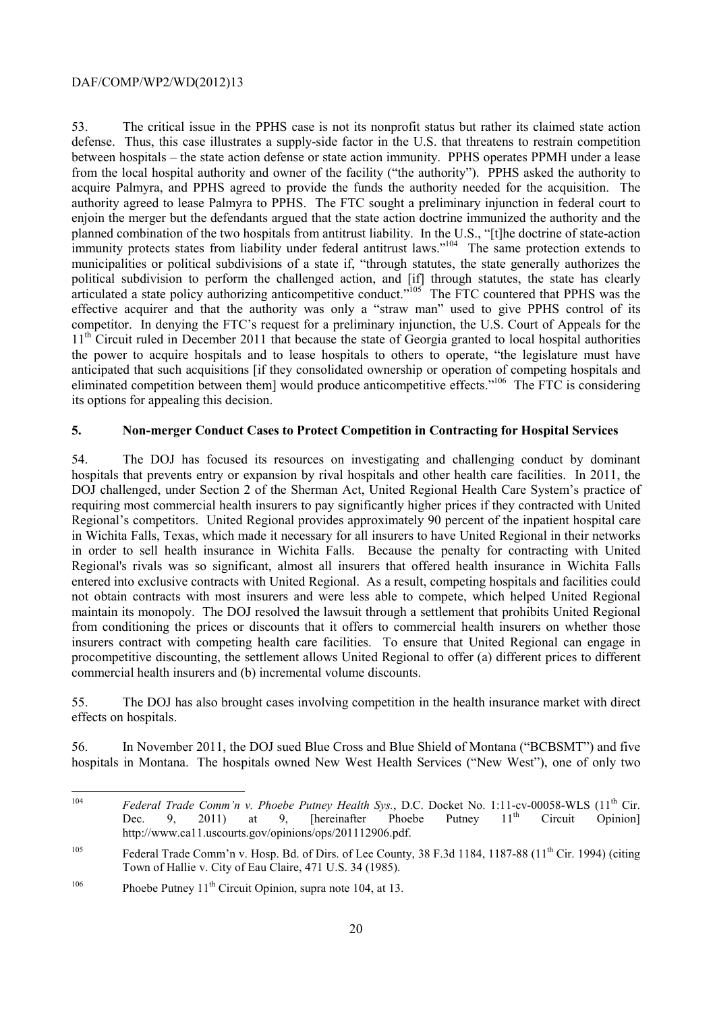planned combination of the two hospitals from antitrust liability. In the U.S., "[t]he doctrine of state-action 53. The critical issue in the PPHS case is not its nonprofit status but rather its claimed state action defense. Thus, this case illustrates a supply-side factor in the U.S. that threatens to restrain competition between hospitals – the state action defense or state action immunity. PPHS operates PPMH under a lease from the local hospital authority and owner of the facility ("the authority"). PPHS asked the authority to acquire Palmyra, and PPHS agreed to provide the funds the authority needed for the acquisition. The authority agreed to lease Palmyra to PPHS. The FTC sought a preliminary injunction in federal court to enjoin the merger but the defendants argued that the state action doctrine immunized the authority and the immunity protects states from liability under federal antitrust laws."<sup>104</sup> The same protection extends to municipalities or political subdivisions of a state if, "through statutes, the state generally authorizes the political subdivision to perform the challenged action, and [if] through statutes, the state has clearly articulated a state policy authorizing anticompetitive conduct."<sup>105</sup> The FTC countered that PPHS was the effective acquirer and that the authority was only a "straw man" used to give PPHS control of its competitor. In denying the FTC's request for a preliminary injunction, the U.S. Court of Appeals for the 11<sup>th</sup> Circuit ruled in December 2011 that because the state of Georgia granted to local hospital authorities the power to acquire hospitals and to lease hospitals to others to operate, "the legislature must have anticipated that such acquisitions [if they consolidated ownership or operation of competing hospitals and eliminated competition between them] would produce anticompetitive effects."<sup>106</sup> The FTC is considering its options for appealing this decision.

#### **5. Non-merger Conduct Cases to Protect Competition in Contracting for Hospital Services**

 maintain its monopoly. The DOJ resolved the lawsuit through a settlement that prohibits United Regional from conditioning the prices or discounts that it offers to commercial health insurers on whether those 54. The DOJ has focused its resources on investigating and challenging conduct by dominant hospitals that prevents entry or expansion by rival hospitals and other health care facilities. In 2011, the DOJ challenged, under Section 2 of the Sherman Act, United Regional Health Care System's practice of requiring most commercial health insurers to pay significantly higher prices if they contracted with United Regional's competitors. United Regional provides approximately 90 percent of the inpatient hospital care in Wichita Falls, Texas, which made it necessary for all insurers to have United Regional in their networks in order to sell health insurance in Wichita Falls. Because the penalty for contracting with United Regional's rivals was so significant, almost all insurers that offered health insurance in Wichita Falls entered into exclusive contracts with United Regional. As a result, competing hospitals and facilities could not obtain contracts with most insurers and were less able to compete, which helped United Regional insurers contract with competing health care facilities. To ensure that United Regional can engage in procompetitive discounting, the settlement allows United Regional to offer (a) different prices to different commercial health insurers and (b) incremental volume discounts.

55. The DOJ has also brought cases involving competition in the health insurance market with direct effects on hospitals.

56. In November 2011, the DOJ sued Blue Cross and Blue Shield of Montana ("BCBSMT") and five hospitals in Montana. The hospitals owned New West Health Services ("New West"), one of only two

<sup>104</sup> Circuit Federal Trade Comm'n v. Phoebe Putney Health Sys., D.C. Docket No. 1:11-cv-00058-WLS (11<sup>th</sup> Cir.<br>Dec. 9. 2011) at 9. [hereinafter Phoebe Putney 11<sup>th</sup> Circuit Opinion] Dec. 9, 2011) at 9, [hereinafter Phoebe Putney  $11<sup>th</sup>$  Circuit Opinion] http://www.ca11.uscourts.gov/opinions/ops/201112906.pdf.

<sup>&</sup>lt;sup>105</sup> Federal Trade Comm'n v. Hosp. Bd. of Dirs. of Lee County, 38 F.3d 1184, 1187-88 (11<sup>th</sup> Cir. 1994) (citing Town of Hallie v. City of Eau Claire, 471 U.S. 34 (1985).

<sup>&</sup>lt;sup>106</sup> Phoebe Putney  $11^{th}$  Circuit Opinion, supra note 104, at 13.